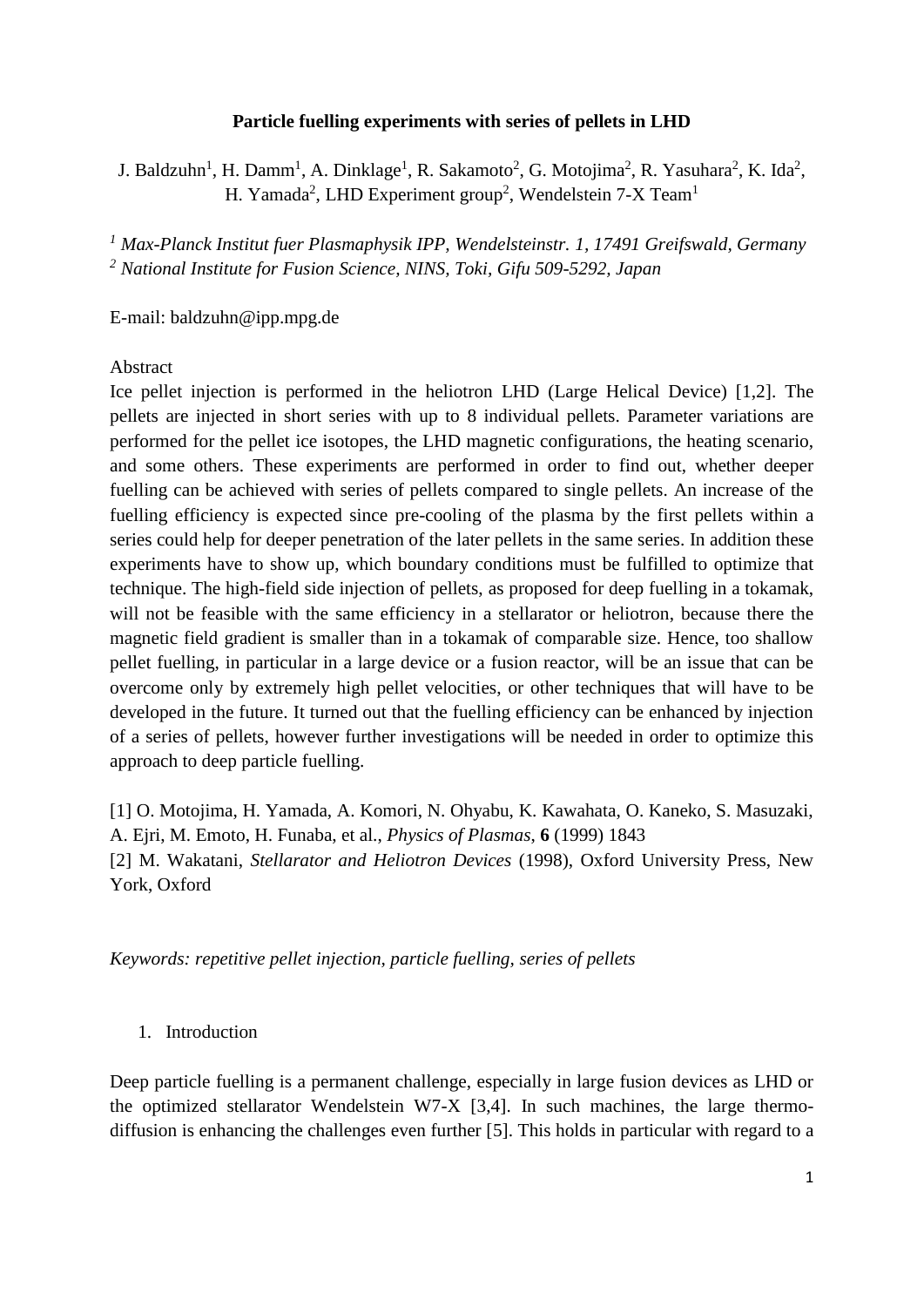## **Particle fuelling experiments with series of pellets in LHD**

J. Baldzuhn<sup>1</sup>, H. Damm<sup>1</sup>, A. Dinklage<sup>1</sup>, R. Sakamoto<sup>2</sup>, G. Motojima<sup>2</sup>, R. Yasuhara<sup>2</sup>, K. Ida<sup>2</sup>, H. Yamada<sup>2</sup>, LHD Experiment group<sup>2</sup>, Wendelstein 7-X Team<sup>1</sup>

*<sup>1</sup> Max-Planck Institut fuer Plasmaphysik IPP, Wendelsteinstr. 1, 17491 Greifswald, Germany <sup>2</sup> National Institute for Fusion Science, NINS, Toki, Gifu 509-5292, Japan*

E-mail: baldzuhn@ipp.mpg.de

## Abstract

Ice pellet injection is performed in the heliotron LHD (Large Helical Device) [1,2]. The pellets are injected in short series with up to 8 individual pellets. Parameter variations are performed for the pellet ice isotopes, the LHD magnetic configurations, the heating scenario, and some others. These experiments are performed in order to find out, whether deeper fuelling can be achieved with series of pellets compared to single pellets. An increase of the fuelling efficiency is expected since pre-cooling of the plasma by the first pellets within a series could help for deeper penetration of the later pellets in the same series. In addition these experiments have to show up, which boundary conditions must be fulfilled to optimize that technique. The high-field side injection of pellets, as proposed for deep fuelling in a tokamak, will not be feasible with the same efficiency in a stellarator or heliotron, because there the magnetic field gradient is smaller than in a tokamak of comparable size. Hence, too shallow pellet fuelling, in particular in a large device or a fusion reactor, will be an issue that can be overcome only by extremely high pellet velocities, or other techniques that will have to be developed in the future. It turned out that the fuelling efficiency can be enhanced by injection of a series of pellets, however further investigations will be needed in order to optimize this approach to deep particle fuelling.

[1] O. Motojima, H. Yamada, A. Komori, N. Ohyabu, K. Kawahata, O. Kaneko, S. Masuzaki, A. Ejri, M. Emoto, H. Funaba, et al., *Physics of Plasmas*, **6** (1999) 1843 [2] M. Wakatani, *Stellarator and Heliotron Devices* (1998), Oxford University Press, New York, Oxford

*Keywords: repetitive pellet injection, particle fuelling, series of pellets*

### 1. Introduction

Deep particle fuelling is a permanent challenge, especially in large fusion devices as LHD or the optimized stellarator Wendelstein W7-X [3,4]. In such machines, the large thermodiffusion is enhancing the challenges even further [5]. This holds in particular with regard to a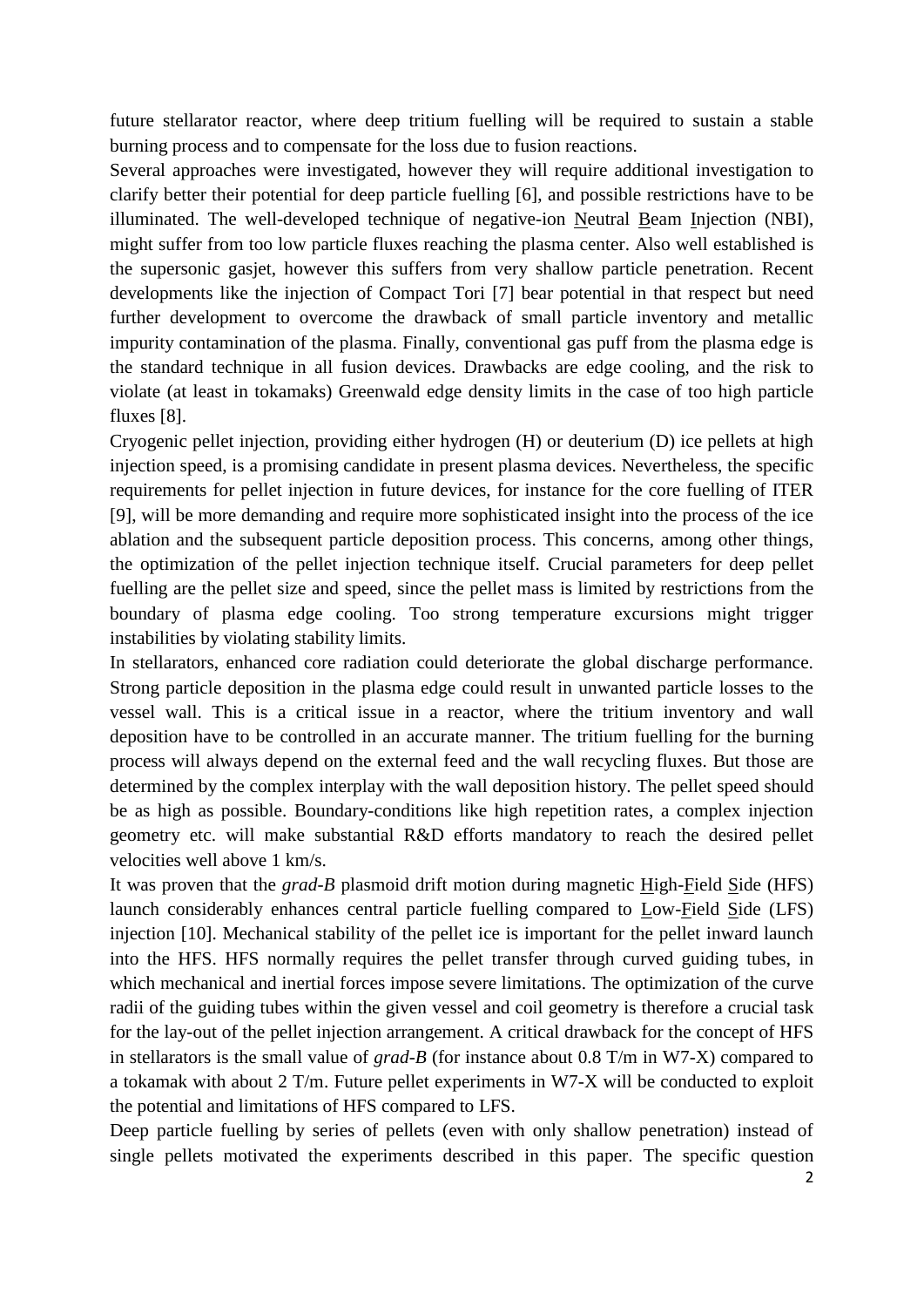future stellarator reactor, where deep tritium fuelling will be required to sustain a stable burning process and to compensate for the loss due to fusion reactions.

Several approaches were investigated, however they will require additional investigation to clarify better their potential for deep particle fuelling [6], and possible restrictions have to be illuminated. The well-developed technique of negative-ion Neutral Beam Injection (NBI), might suffer from too low particle fluxes reaching the plasma center. Also well established is the supersonic gasjet, however this suffers from very shallow particle penetration. Recent developments like the injection of Compact Tori [7] bear potential in that respect but need further development to overcome the drawback of small particle inventory and metallic impurity contamination of the plasma. Finally, conventional gas puff from the plasma edge is the standard technique in all fusion devices. Drawbacks are edge cooling, and the risk to violate (at least in tokamaks) Greenwald edge density limits in the case of too high particle fluxes [8].

Cryogenic pellet injection, providing either hydrogen (H) or deuterium (D) ice pellets at high injection speed, is a promising candidate in present plasma devices. Nevertheless, the specific requirements for pellet injection in future devices, for instance for the core fuelling of ITER [9], will be more demanding and require more sophisticated insight into the process of the ice ablation and the subsequent particle deposition process. This concerns, among other things, the optimization of the pellet injection technique itself. Crucial parameters for deep pellet fuelling are the pellet size and speed, since the pellet mass is limited by restrictions from the boundary of plasma edge cooling. Too strong temperature excursions might trigger instabilities by violating stability limits.

In stellarators, enhanced core radiation could deteriorate the global discharge performance. Strong particle deposition in the plasma edge could result in unwanted particle losses to the vessel wall. This is a critical issue in a reactor, where the tritium inventory and wall deposition have to be controlled in an accurate manner. The tritium fuelling for the burning process will always depend on the external feed and the wall recycling fluxes. But those are determined by the complex interplay with the wall deposition history. The pellet speed should be as high as possible. Boundary-conditions like high repetition rates, a complex injection geometry etc. will make substantial R&D efforts mandatory to reach the desired pellet velocities well above 1 km/s.

It was proven that the *grad-B* plasmoid drift motion during magnetic High-Field Side (HFS) launch considerably enhances central particle fuelling compared to Low-Field Side (LFS) injection [10]. Mechanical stability of the pellet ice is important for the pellet inward launch into the HFS. HFS normally requires the pellet transfer through curved guiding tubes, in which mechanical and inertial forces impose severe limitations. The optimization of the curve radii of the guiding tubes within the given vessel and coil geometry is therefore a crucial task for the lay-out of the pellet injection arrangement. A critical drawback for the concept of HFS in stellarators is the small value of *grad-B* (for instance about 0.8 T/m in W7-X) compared to a tokamak with about 2 T/m. Future pellet experiments in W7-X will be conducted to exploit the potential and limitations of HFS compared to LFS.

Deep particle fuelling by series of pellets (even with only shallow penetration) instead of single pellets motivated the experiments described in this paper. The specific question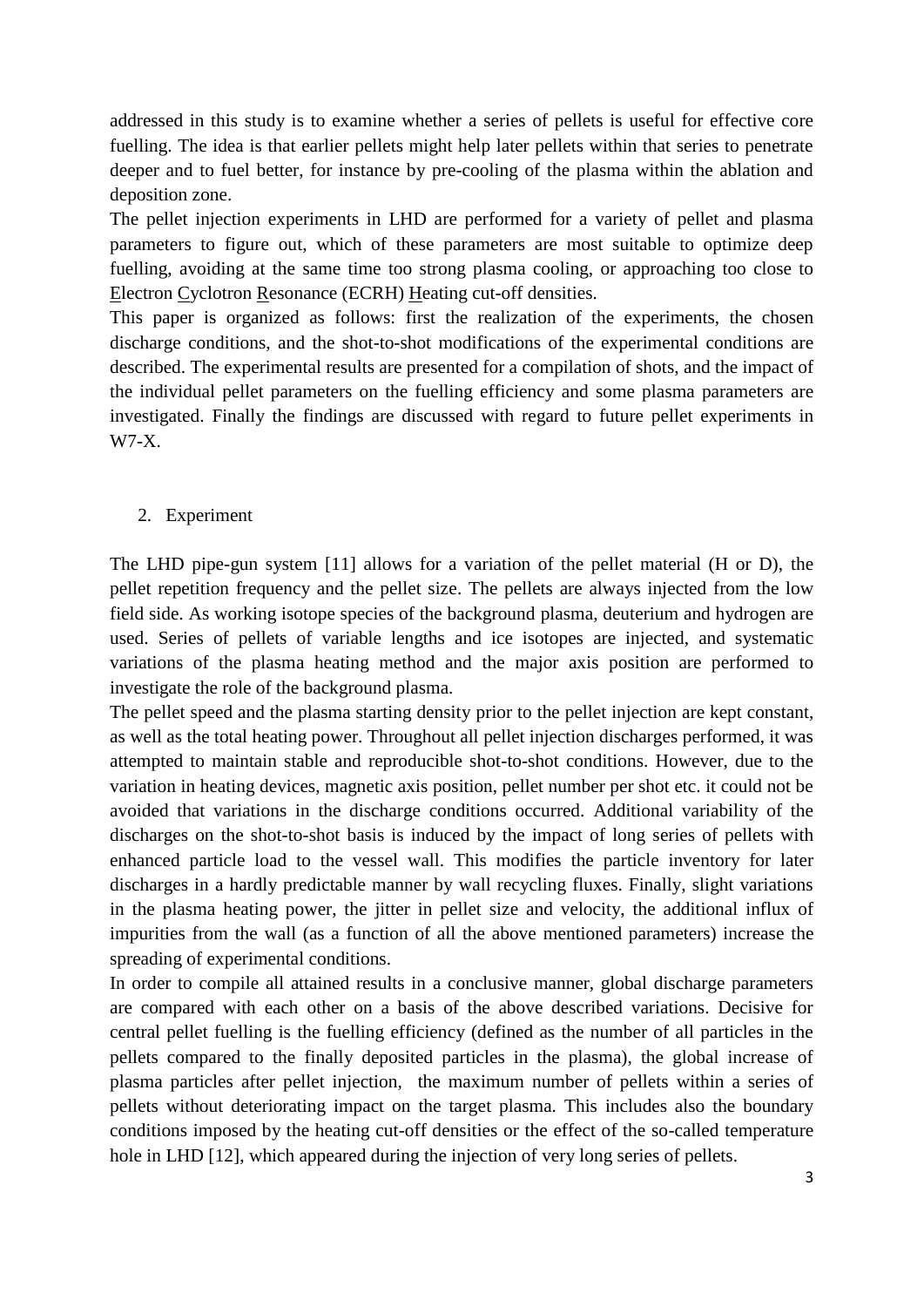addressed in this study is to examine whether a series of pellets is useful for effective core fuelling. The idea is that earlier pellets might help later pellets within that series to penetrate deeper and to fuel better, for instance by pre-cooling of the plasma within the ablation and deposition zone.

The pellet injection experiments in LHD are performed for a variety of pellet and plasma parameters to figure out, which of these parameters are most suitable to optimize deep fuelling, avoiding at the same time too strong plasma cooling, or approaching too close to Electron Cyclotron Resonance (ECRH) Heating cut-off densities.

This paper is organized as follows: first the realization of the experiments, the chosen discharge conditions, and the shot-to-shot modifications of the experimental conditions are described. The experimental results are presented for a compilation of shots, and the impact of the individual pellet parameters on the fuelling efficiency and some plasma parameters are investigated. Finally the findings are discussed with regard to future pellet experiments in W7-X.

# 2. Experiment

The LHD pipe-gun system [11] allows for a variation of the pellet material (H or D), the pellet repetition frequency and the pellet size. The pellets are always injected from the low field side. As working isotope species of the background plasma, deuterium and hydrogen are used. Series of pellets of variable lengths and ice isotopes are injected, and systematic variations of the plasma heating method and the major axis position are performed to investigate the role of the background plasma.

The pellet speed and the plasma starting density prior to the pellet injection are kept constant, as well as the total heating power. Throughout all pellet injection discharges performed, it was attempted to maintain stable and reproducible shot-to-shot conditions. However, due to the variation in heating devices, magnetic axis position, pellet number per shot etc. it could not be avoided that variations in the discharge conditions occurred. Additional variability of the discharges on the shot-to-shot basis is induced by the impact of long series of pellets with enhanced particle load to the vessel wall. This modifies the particle inventory for later discharges in a hardly predictable manner by wall recycling fluxes. Finally, slight variations in the plasma heating power, the jitter in pellet size and velocity, the additional influx of impurities from the wall (as a function of all the above mentioned parameters) increase the spreading of experimental conditions.

In order to compile all attained results in a conclusive manner, global discharge parameters are compared with each other on a basis of the above described variations. Decisive for central pellet fuelling is the fuelling efficiency (defined as the number of all particles in the pellets compared to the finally deposited particles in the plasma), the global increase of plasma particles after pellet injection, the maximum number of pellets within a series of pellets without deteriorating impact on the target plasma. This includes also the boundary conditions imposed by the heating cut-off densities or the effect of the so-called temperature hole in LHD [12], which appeared during the injection of very long series of pellets.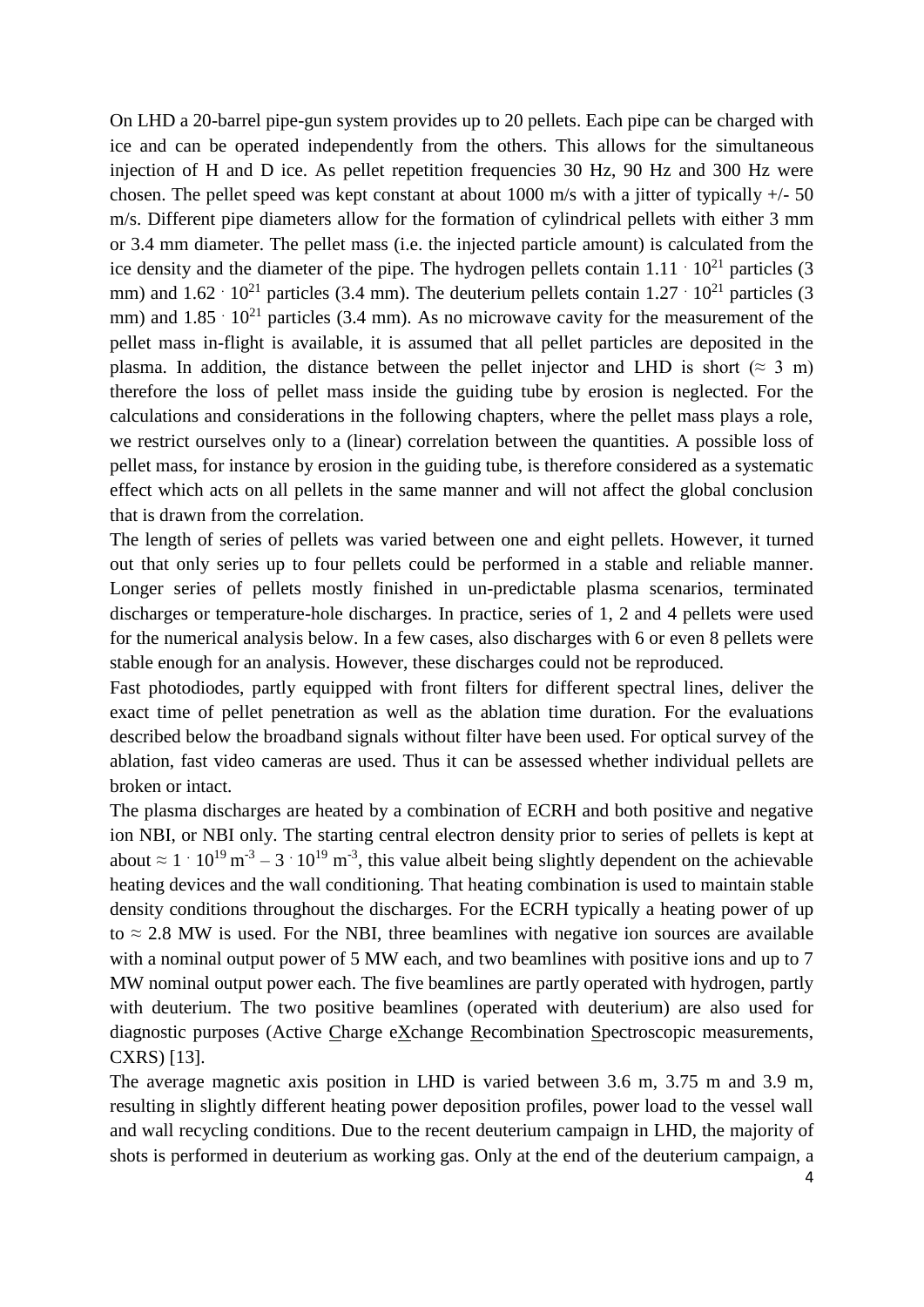On LHD a 20-barrel pipe-gun system provides up to 20 pellets. Each pipe can be charged with ice and can be operated independently from the others. This allows for the simultaneous injection of H and D ice. As pellet repetition frequencies 30 Hz, 90 Hz and 300 Hz were chosen. The pellet speed was kept constant at about 1000 m/s with a jitter of typically +/- 50 m/s. Different pipe diameters allow for the formation of cylindrical pellets with either 3 mm or 3.4 mm diameter. The pellet mass (i.e. the injected particle amount) is calculated from the ice density and the diameter of the pipe. The hydrogen pellets contain  $1.11 \cdot 10^{21}$  particles (3) mm) and  $1.62 \cdot 10^{21}$  particles (3.4 mm). The deuterium pellets contain  $1.27 \cdot 10^{21}$  particles (3) mm) and  $1.85 \cdot 10^{21}$  particles (3.4 mm). As no microwave cavity for the measurement of the pellet mass in-flight is available, it is assumed that all pellet particles are deposited in the plasma. In addition, the distance between the pellet injector and LHD is short ( $\approx 3$  m) therefore the loss of pellet mass inside the guiding tube by erosion is neglected. For the calculations and considerations in the following chapters, where the pellet mass plays a role, we restrict ourselves only to a (linear) correlation between the quantities. A possible loss of pellet mass, for instance by erosion in the guiding tube, is therefore considered as a systematic effect which acts on all pellets in the same manner and will not affect the global conclusion that is drawn from the correlation.

The length of series of pellets was varied between one and eight pellets. However, it turned out that only series up to four pellets could be performed in a stable and reliable manner. Longer series of pellets mostly finished in un-predictable plasma scenarios, terminated discharges or temperature-hole discharges. In practice, series of 1, 2 and 4 pellets were used for the numerical analysis below. In a few cases, also discharges with 6 or even 8 pellets were stable enough for an analysis. However, these discharges could not be reproduced.

Fast photodiodes, partly equipped with front filters for different spectral lines, deliver the exact time of pellet penetration as well as the ablation time duration. For the evaluations described below the broadband signals without filter have been used. For optical survey of the ablation, fast video cameras are used. Thus it can be assessed whether individual pellets are broken or intact.

The plasma discharges are heated by a combination of ECRH and both positive and negative ion NBI, or NBI only. The starting central electron density prior to series of pellets is kept at about  $\approx 1 \cdot 10^{19}$  m<sup>-3</sup> – 3  $\cdot 10^{19}$  m<sup>-3</sup>, this value albeit being slightly dependent on the achievable heating devices and the wall conditioning. That heating combination is used to maintain stable density conditions throughout the discharges. For the ECRH typically a heating power of up to  $\approx$  2.8 MW is used. For the NBI, three beamlines with negative ion sources are available with a nominal output power of 5 MW each, and two beamlines with positive ions and up to 7 MW nominal output power each. The five beamlines are partly operated with hydrogen, partly with deuterium. The two positive beamlines (operated with deuterium) are also used for diagnostic purposes (Active Charge eXchange Recombination Spectroscopic measurements, CXRS) [13].

The average magnetic axis position in LHD is varied between 3.6 m, 3.75 m and 3.9 m, resulting in slightly different heating power deposition profiles, power load to the vessel wall and wall recycling conditions. Due to the recent deuterium campaign in LHD, the majority of shots is performed in deuterium as working gas. Only at the end of the deuterium campaign, a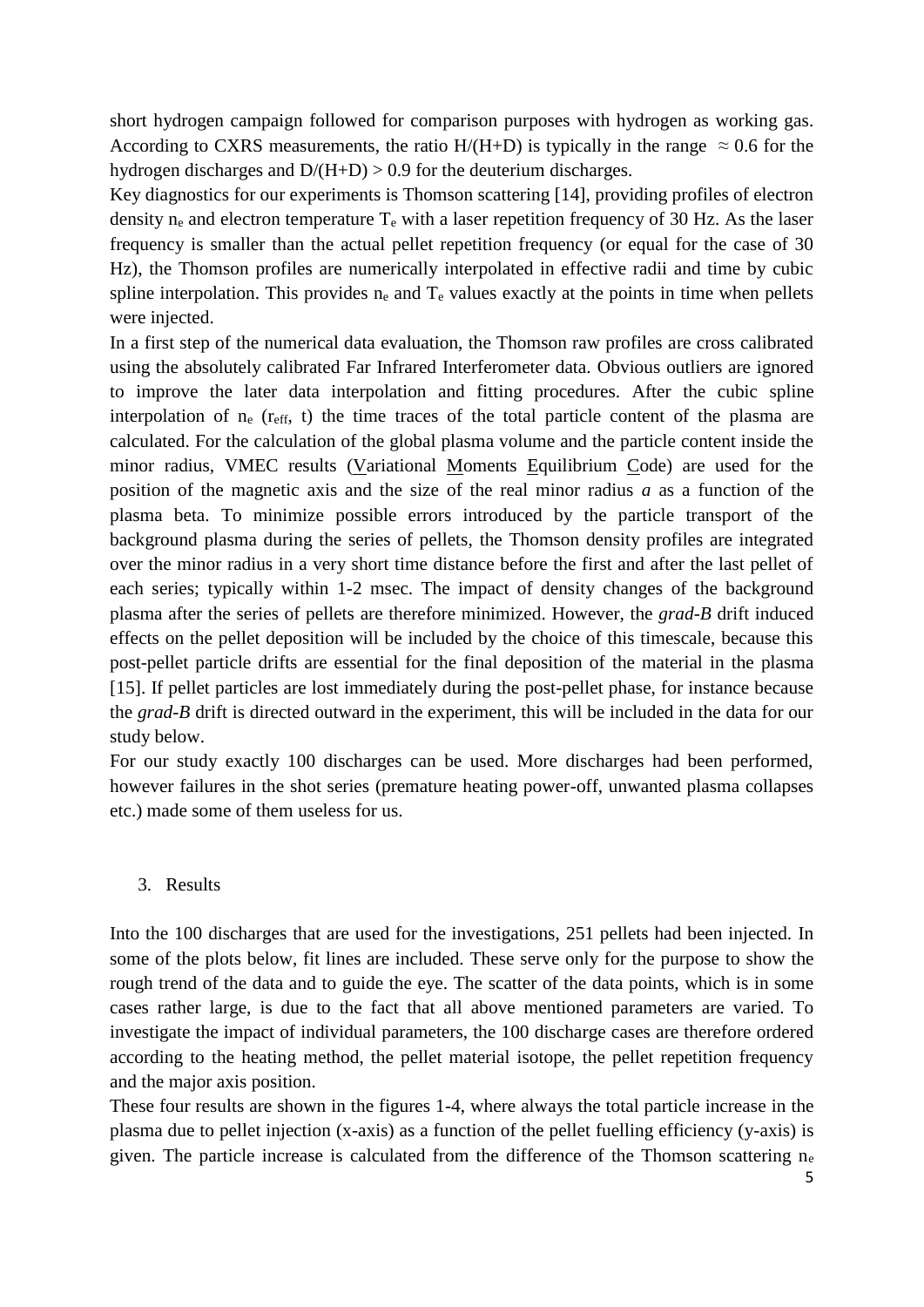short hydrogen campaign followed for comparison purposes with hydrogen as working gas. According to CXRS measurements, the ratio  $H/(H+D)$  is typically in the range  $\approx 0.6$  for the hydrogen discharges and  $D/(H+D) > 0.9$  for the deuterium discharges.

Key diagnostics for our experiments is Thomson scattering [14], providing profiles of electron density  $n_e$  and electron temperature  $T_e$  with a laser repetition frequency of 30 Hz. As the laser frequency is smaller than the actual pellet repetition frequency (or equal for the case of 30 Hz), the Thomson profiles are numerically interpolated in effective radii and time by cubic spline interpolation. This provides  $n_e$  and  $T_e$  values exactly at the points in time when pellets were injected.

In a first step of the numerical data evaluation, the Thomson raw profiles are cross calibrated using the absolutely calibrated Far Infrared Interferometer data. Obvious outliers are ignored to improve the later data interpolation and fitting procedures. After the cubic spline interpolation of  $n_e$  ( $r_{\text{eff}}$ , t) the time traces of the total particle content of the plasma are calculated. For the calculation of the global plasma volume and the particle content inside the minor radius, VMEC results (Variational Moments Equilibrium Code) are used for the position of the magnetic axis and the size of the real minor radius *a* as a function of the plasma beta. To minimize possible errors introduced by the particle transport of the background plasma during the series of pellets, the Thomson density profiles are integrated over the minor radius in a very short time distance before the first and after the last pellet of each series; typically within 1-2 msec. The impact of density changes of the background plasma after the series of pellets are therefore minimized. However, the *grad-B* drift induced effects on the pellet deposition will be included by the choice of this timescale, because this post-pellet particle drifts are essential for the final deposition of the material in the plasma [15]. If pellet particles are lost immediately during the post-pellet phase, for instance because the *grad-B* drift is directed outward in the experiment, this will be included in the data for our study below.

For our study exactly 100 discharges can be used. More discharges had been performed, however failures in the shot series (premature heating power-off, unwanted plasma collapses etc.) made some of them useless for us.

# 3. Results

Into the 100 discharges that are used for the investigations, 251 pellets had been injected. In some of the plots below, fit lines are included. These serve only for the purpose to show the rough trend of the data and to guide the eye. The scatter of the data points, which is in some cases rather large, is due to the fact that all above mentioned parameters are varied. To investigate the impact of individual parameters, the 100 discharge cases are therefore ordered according to the heating method, the pellet material isotope, the pellet repetition frequency and the major axis position.

These four results are shown in the figures 1-4, where always the total particle increase in the plasma due to pellet injection (x-axis) as a function of the pellet fuelling efficiency (y-axis) is given. The particle increase is calculated from the difference of the Thomson scattering  $n_e$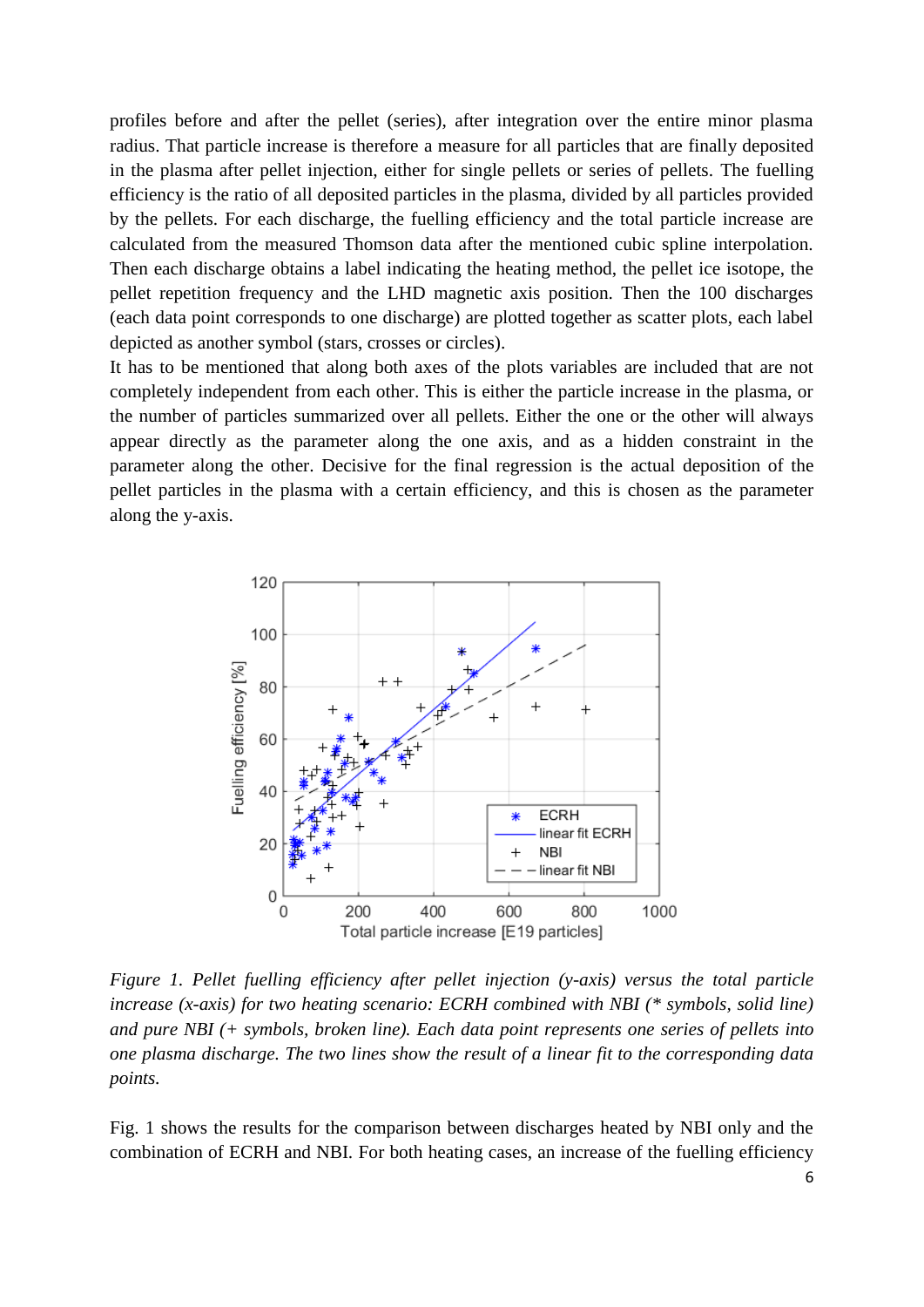profiles before and after the pellet (series), after integration over the entire minor plasma radius. That particle increase is therefore a measure for all particles that are finally deposited in the plasma after pellet injection, either for single pellets or series of pellets. The fuelling efficiency is the ratio of all deposited particles in the plasma, divided by all particles provided by the pellets. For each discharge, the fuelling efficiency and the total particle increase are calculated from the measured Thomson data after the mentioned cubic spline interpolation. Then each discharge obtains a label indicating the heating method, the pellet ice isotope, the pellet repetition frequency and the LHD magnetic axis position. Then the 100 discharges (each data point corresponds to one discharge) are plotted together as scatter plots, each label depicted as another symbol (stars, crosses or circles).

It has to be mentioned that along both axes of the plots variables are included that are not completely independent from each other. This is either the particle increase in the plasma, or the number of particles summarized over all pellets. Either the one or the other will always appear directly as the parameter along the one axis, and as a hidden constraint in the parameter along the other. Decisive for the final regression is the actual deposition of the pellet particles in the plasma with a certain efficiency, and this is chosen as the parameter along the y-axis.



*Figure 1. Pellet fuelling efficiency after pellet injection (y-axis) versus the total particle increase (x-axis) for two heating scenario: ECRH combined with NBI (\* symbols, solid line) and pure NBI (+ symbols, broken line). Each data point represents one series of pellets into one plasma discharge. The two lines show the result of a linear fit to the corresponding data points.* 

Fig. 1 shows the results for the comparison between discharges heated by NBI only and the combination of ECRH and NBI. For both heating cases, an increase of the fuelling efficiency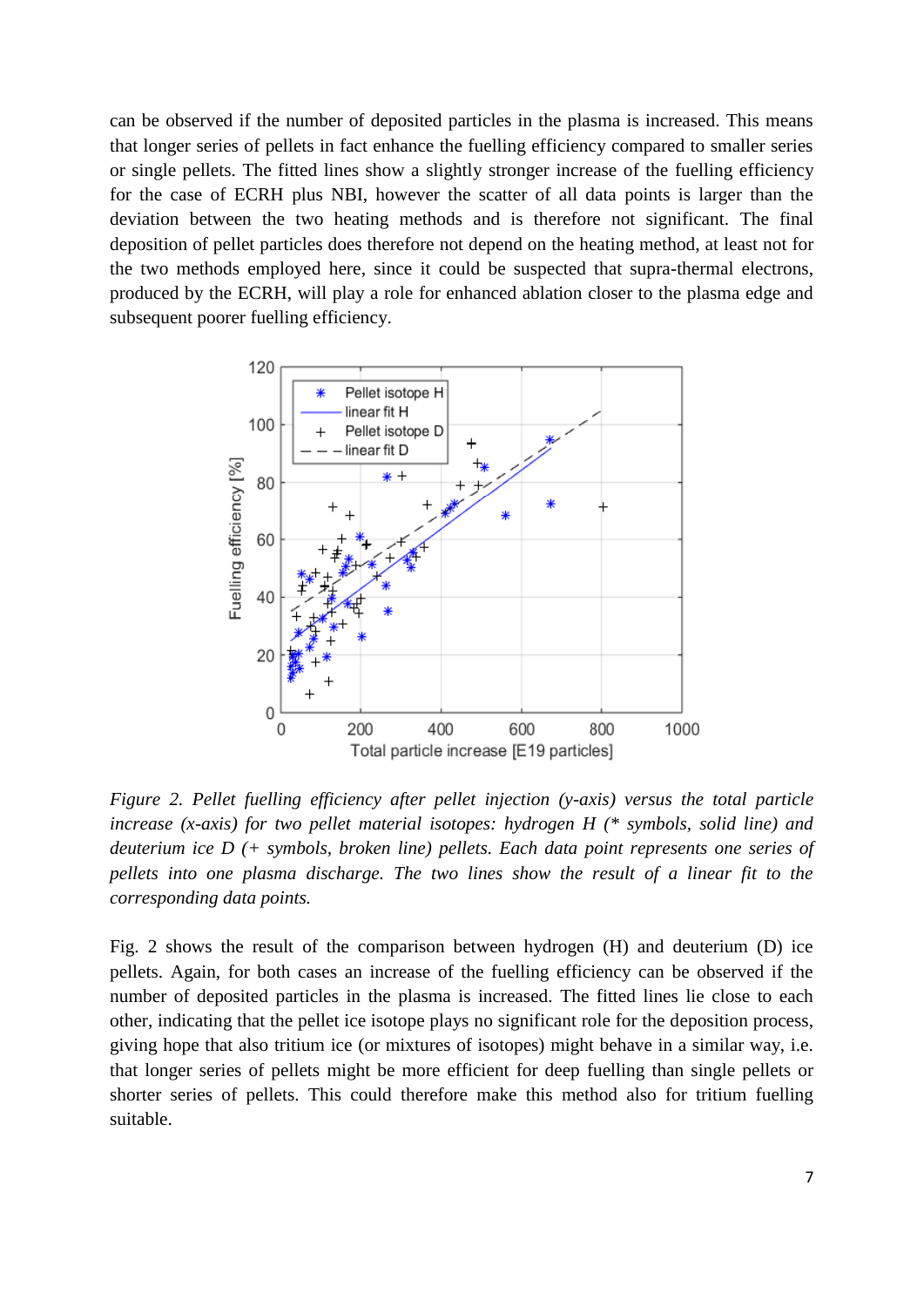can be observed if the number of deposited particles in the plasma is increased. This means that longer series of pellets in fact enhance the fuelling efficiency compared to smaller series or single pellets. The fitted lines show a slightly stronger increase of the fuelling efficiency for the case of ECRH plus NBI, however the scatter of all data points is larger than the deviation between the two heating methods and is therefore not significant. The final deposition of pellet particles does therefore not depend on the heating method, at least not for the two methods employed here, since it could be suspected that supra-thermal electrons, produced by the ECRH, will play a role for enhanced ablation closer to the plasma edge and subsequent poorer fuelling efficiency.



*Figure 2. Pellet fuelling efficiency after pellet injection (y-axis) versus the total particle increase (x-axis) for two pellet material isotopes: hydrogen H (\* symbols, solid line) and deuterium ice D (+ symbols, broken line) pellets. Each data point represents one series of pellets into one plasma discharge. The two lines show the result of a linear fit to the corresponding data points.* 

Fig. 2 shows the result of the comparison between hydrogen (H) and deuterium (D) ice pellets. Again, for both cases an increase of the fuelling efficiency can be observed if the number of deposited particles in the plasma is increased. The fitted lines lie close to each other, indicating that the pellet ice isotope plays no significant role for the deposition process, giving hope that also tritium ice (or mixtures of isotopes) might behave in a similar way, i.e. that longer series of pellets might be more efficient for deep fuelling than single pellets or shorter series of pellets. This could therefore make this method also for tritium fuelling suitable.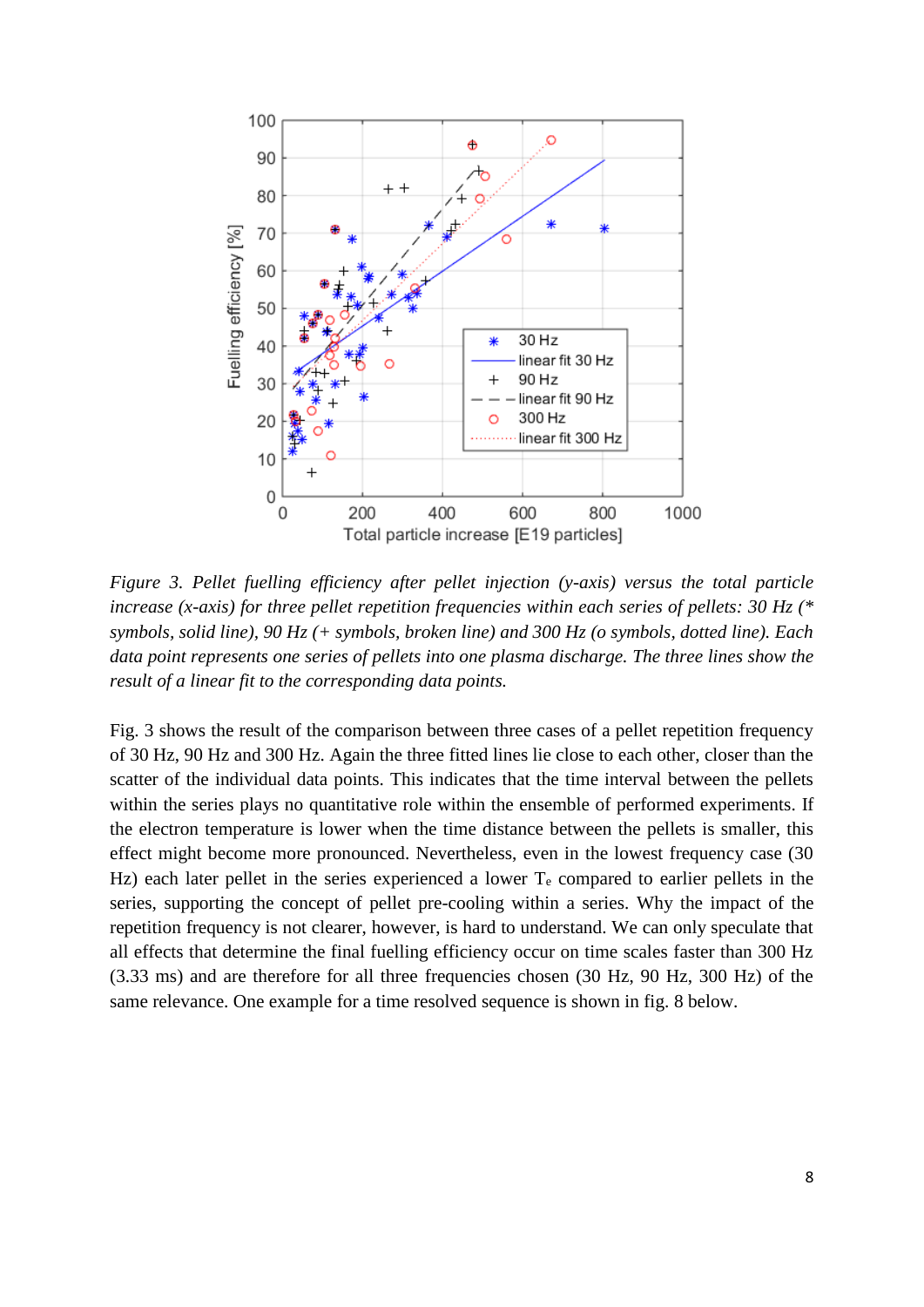

*Figure 3. Pellet fuelling efficiency after pellet injection (y-axis) versus the total particle increase (x-axis) for three pellet repetition frequencies within each series of pellets: 30 Hz (\* symbols, solid line), 90 Hz (+ symbols, broken line) and 300 Hz (o symbols, dotted line). Each data point represents one series of pellets into one plasma discharge. The three lines show the result of a linear fit to the corresponding data points.* 

Fig. 3 shows the result of the comparison between three cases of a pellet repetition frequency of 30 Hz, 90 Hz and 300 Hz. Again the three fitted lines lie close to each other, closer than the scatter of the individual data points. This indicates that the time interval between the pellets within the series plays no quantitative role within the ensemble of performed experiments. If the electron temperature is lower when the time distance between the pellets is smaller, this effect might become more pronounced. Nevertheless, even in the lowest frequency case (30 Hz) each later pellet in the series experienced a lower  $T_e$  compared to earlier pellets in the series, supporting the concept of pellet pre-cooling within a series. Why the impact of the repetition frequency is not clearer, however, is hard to understand. We can only speculate that all effects that determine the final fuelling efficiency occur on time scales faster than 300 Hz (3.33 ms) and are therefore for all three frequencies chosen (30 Hz, 90 Hz, 300 Hz) of the same relevance. One example for a time resolved sequence is shown in fig. 8 below.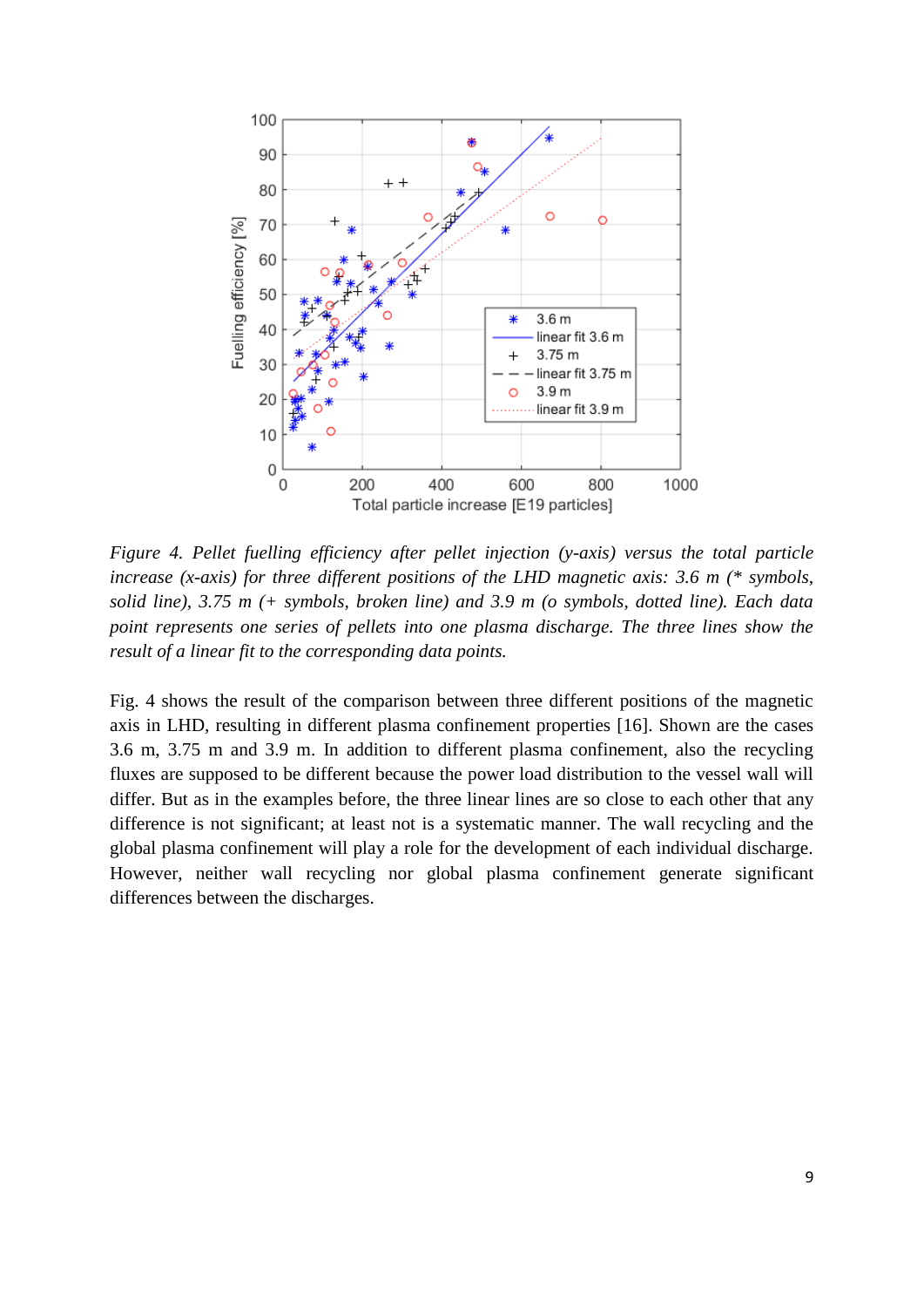

*Figure 4. Pellet fuelling efficiency after pellet injection (y-axis) versus the total particle increase (x-axis) for three different positions of the LHD magnetic axis: 3.6 m (\* symbols, solid line), 3.75 m (+ symbols, broken line) and 3.9 m (o symbols, dotted line). Each data point represents one series of pellets into one plasma discharge. The three lines show the result of a linear fit to the corresponding data points.*

Fig. 4 shows the result of the comparison between three different positions of the magnetic axis in LHD, resulting in different plasma confinement properties [16]. Shown are the cases 3.6 m, 3.75 m and 3.9 m. In addition to different plasma confinement, also the recycling fluxes are supposed to be different because the power load distribution to the vessel wall will differ. But as in the examples before, the three linear lines are so close to each other that any difference is not significant; at least not is a systematic manner. The wall recycling and the global plasma confinement will play a role for the development of each individual discharge. However, neither wall recycling nor global plasma confinement generate significant differences between the discharges.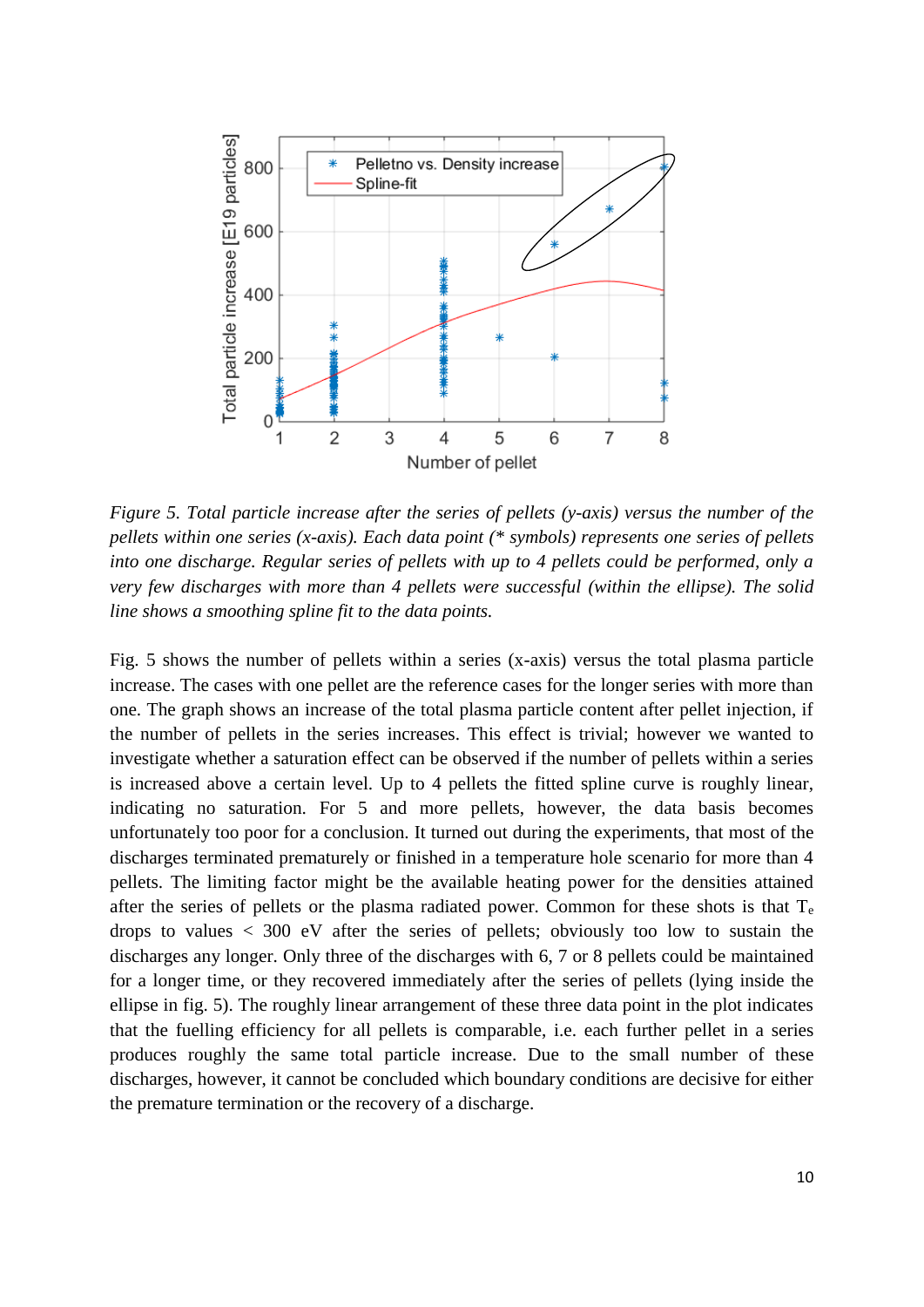

*Figure 5. Total particle increase after the series of pellets (y-axis) versus the number of the pellets within one series (x-axis). Each data point (\* symbols) represents one series of pellets into one discharge. Regular series of pellets with up to 4 pellets could be performed, only a very few discharges with more than 4 pellets were successful (within the ellipse). The solid line shows a smoothing spline fit to the data points.*

Fig. 5 shows the number of pellets within a series (x-axis) versus the total plasma particle increase. The cases with one pellet are the reference cases for the longer series with more than one. The graph shows an increase of the total plasma particle content after pellet injection, if the number of pellets in the series increases. This effect is trivial; however we wanted to investigate whether a saturation effect can be observed if the number of pellets within a series is increased above a certain level. Up to 4 pellets the fitted spline curve is roughly linear, indicating no saturation. For 5 and more pellets, however, the data basis becomes unfortunately too poor for a conclusion. It turned out during the experiments, that most of the discharges terminated prematurely or finished in a temperature hole scenario for more than 4 pellets. The limiting factor might be the available heating power for the densities attained after the series of pellets or the plasma radiated power. Common for these shots is that T<sup>e</sup> drops to values  $\langle 300 \rangle$  eV after the series of pellets; obviously too low to sustain the discharges any longer. Only three of the discharges with 6, 7 or 8 pellets could be maintained for a longer time, or they recovered immediately after the series of pellets (lying inside the ellipse in fig. 5). The roughly linear arrangement of these three data point in the plot indicates that the fuelling efficiency for all pellets is comparable, i.e. each further pellet in a series produces roughly the same total particle increase. Due to the small number of these discharges, however, it cannot be concluded which boundary conditions are decisive for either the premature termination or the recovery of a discharge.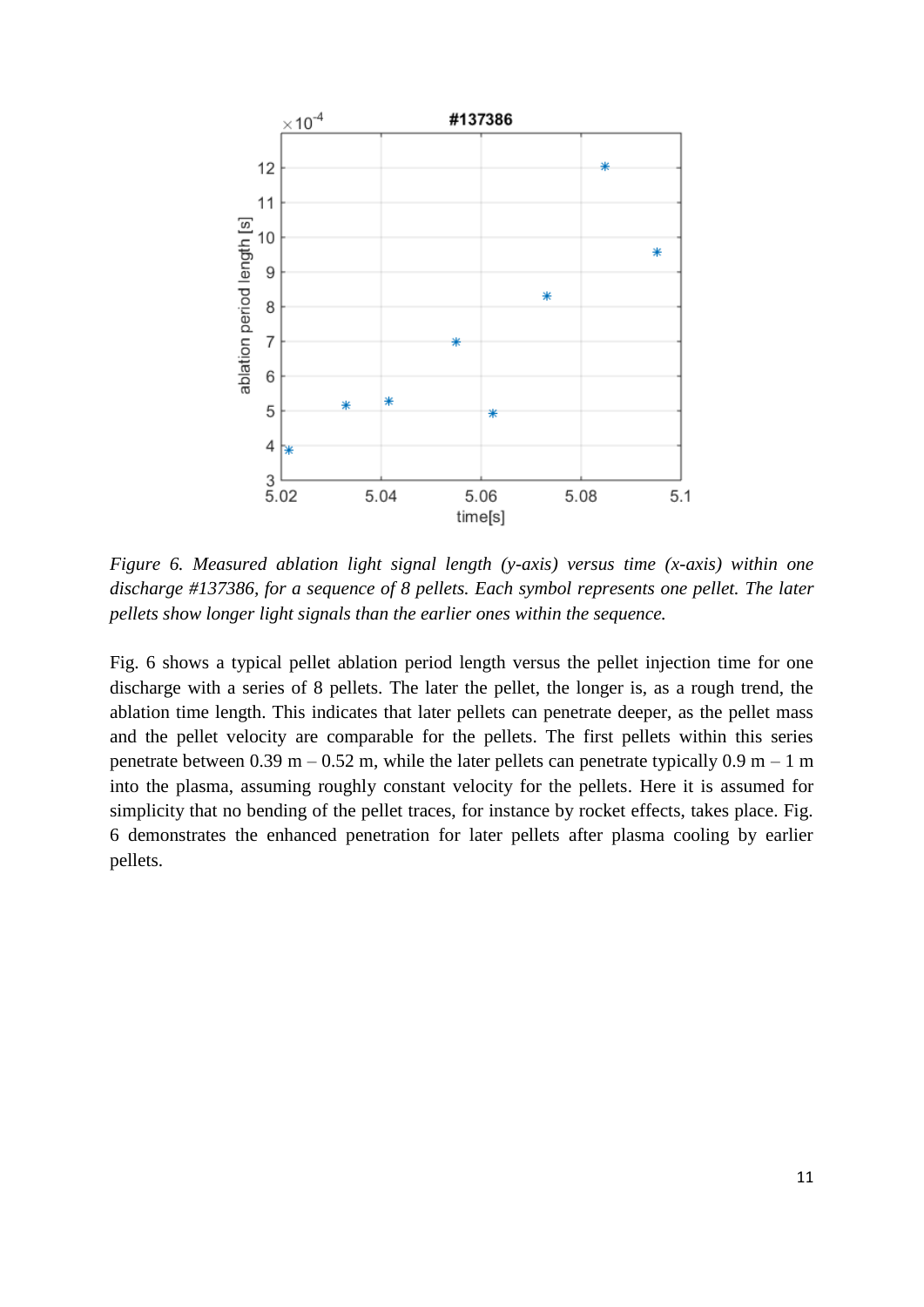

*Figure 6. Measured ablation light signal length (y-axis) versus time (x-axis) within one discharge #137386, for a sequence of 8 pellets. Each symbol represents one pellet. The later pellets show longer light signals than the earlier ones within the sequence.*

Fig. 6 shows a typical pellet ablation period length versus the pellet injection time for one discharge with a series of 8 pellets. The later the pellet, the longer is, as a rough trend, the ablation time length. This indicates that later pellets can penetrate deeper, as the pellet mass and the pellet velocity are comparable for the pellets. The first pellets within this series penetrate between 0.39 m – 0.52 m, while the later pellets can penetrate typically 0.9 m – 1 m into the plasma, assuming roughly constant velocity for the pellets. Here it is assumed for simplicity that no bending of the pellet traces, for instance by rocket effects, takes place. Fig. 6 demonstrates the enhanced penetration for later pellets after plasma cooling by earlier pellets.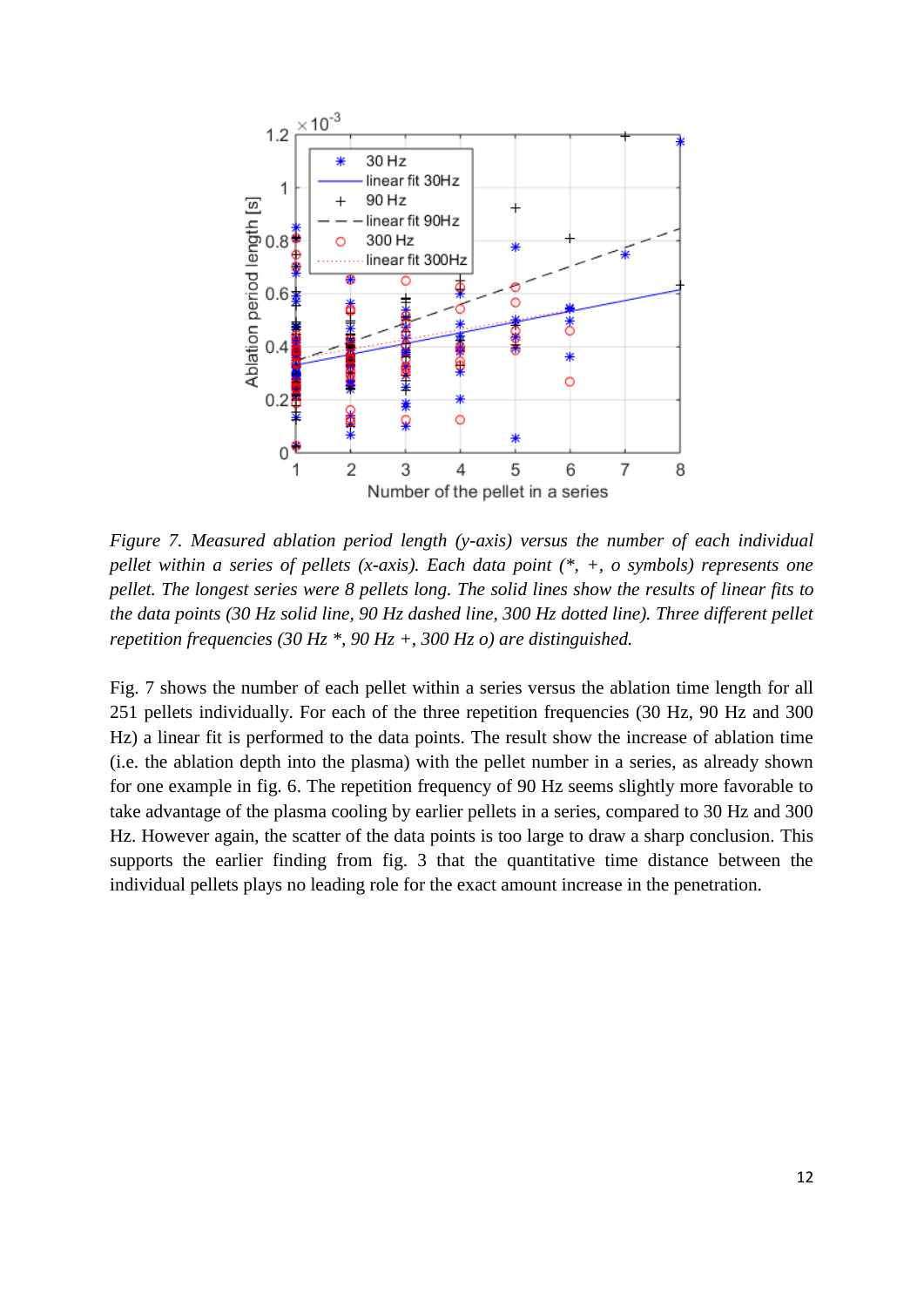

*Figure 7. Measured ablation period length (y-axis) versus the number of each individual pellet within a series of pellets (x-axis). Each data point (\*, +, o symbols) represents one pellet. The longest series were 8 pellets long. The solid lines show the results of linear fits to the data points (30 Hz solid line, 90 Hz dashed line, 300 Hz dotted line). Three different pellet repetition frequencies (30 Hz \*, 90 Hz +, 300 Hz o) are distinguished.*

Fig. 7 shows the number of each pellet within a series versus the ablation time length for all 251 pellets individually. For each of the three repetition frequencies (30 Hz, 90 Hz and 300 Hz) a linear fit is performed to the data points. The result show the increase of ablation time (i.e. the ablation depth into the plasma) with the pellet number in a series, as already shown for one example in fig. 6. The repetition frequency of 90 Hz seems slightly more favorable to take advantage of the plasma cooling by earlier pellets in a series, compared to 30 Hz and 300 Hz. However again, the scatter of the data points is too large to draw a sharp conclusion. This supports the earlier finding from fig. 3 that the quantitative time distance between the individual pellets plays no leading role for the exact amount increase in the penetration.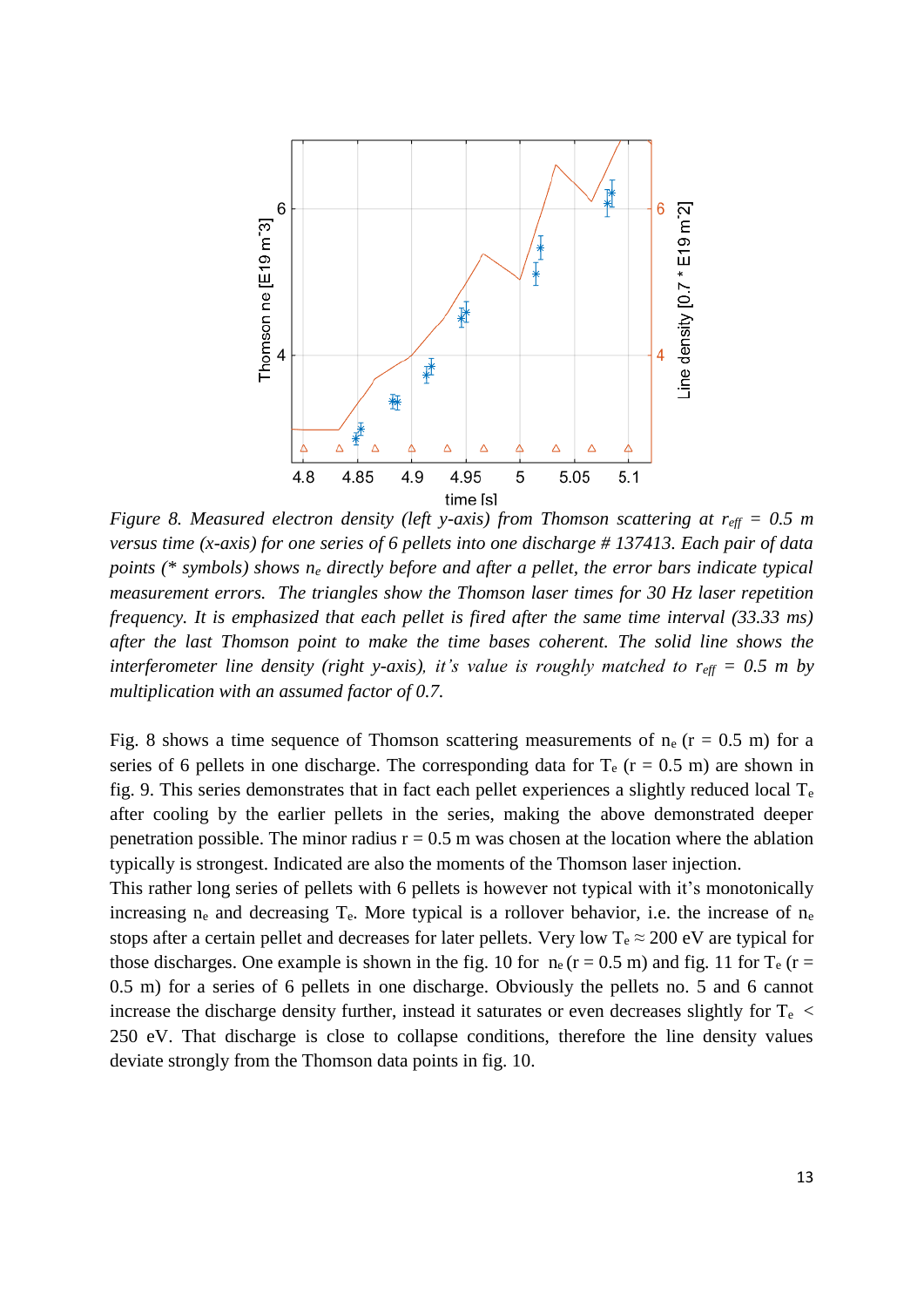

*Figure 8. Measured electron density (left y-axis) from Thomson scattering at r<sub>eff</sub> = 0.5 m versus time (x-axis) for one series of 6 pellets into one discharge # 137413. Each pair of data points (\* symbols) shows n<sup>e</sup> directly before and after a pellet, the error bars indicate typical measurement errors. The triangles show the Thomson laser times for 30 Hz laser repetition frequency. It is emphasized that each pellet is fired after the same time interval (33.33 ms) after the last Thomson point to make the time bases coherent. The solid line shows the interferometer line density (right y-axis), it's value is roughly matched to*  $r_{\text{eff}} = 0.5$  *m by multiplication with an assumed factor of 0.7.* 

Fig. 8 shows a time sequence of Thomson scattering measurements of  $n_e$  ( $r = 0.5$  m) for a series of 6 pellets in one discharge. The corresponding data for  $T_e$  (r = 0.5 m) are shown in fig. 9. This series demonstrates that in fact each pellet experiences a slightly reduced local  $T_e$ after cooling by the earlier pellets in the series, making the above demonstrated deeper penetration possible. The minor radius  $r = 0.5$  m was chosen at the location where the ablation typically is strongest. Indicated are also the moments of the Thomson laser injection.

This rather long series of pellets with 6 pellets is however not typical with it's monotonically increasing  $n_e$  and decreasing  $T_e$ . More typical is a rollover behavior, i.e. the increase of  $n_e$ stops after a certain pellet and decreases for later pellets. Very low  $T_e \approx 200 \text{ eV}$  are typical for those discharges. One example is shown in the fig. 10 for  $n_e$  (r = 0.5 m) and fig. 11 for  $T_e$  (r = 0.5 m) for a series of 6 pellets in one discharge. Obviously the pellets no. 5 and 6 cannot increase the discharge density further, instead it saturates or even decreases slightly for  $T_e$  < 250 eV. That discharge is close to collapse conditions, therefore the line density values deviate strongly from the Thomson data points in fig. 10.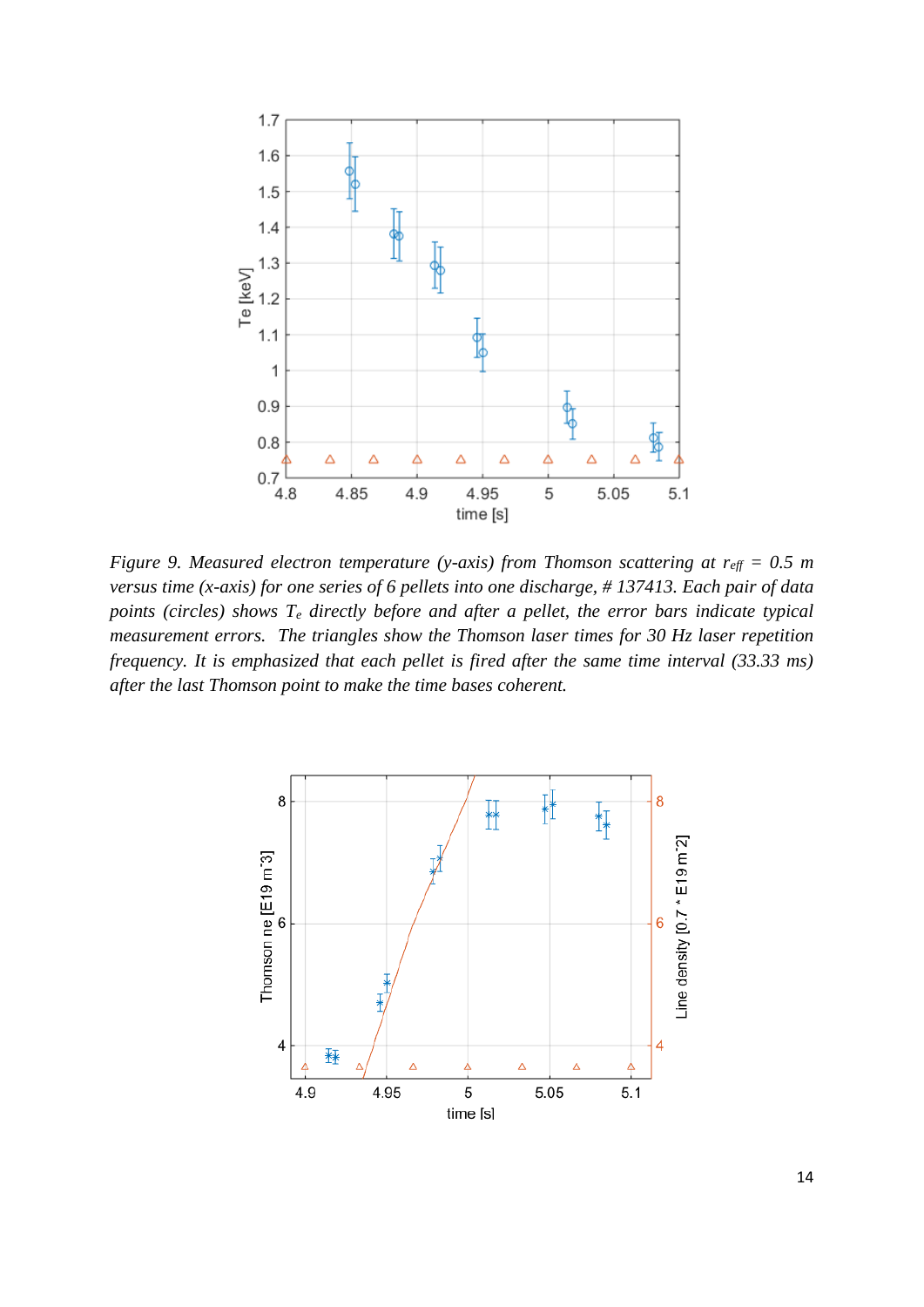

*Figure 9. Measured electron temperature (y-axis) from Thomson scattering at r<sub><i>eff*</sub> = 0.5 *m versus time (x-axis) for one series of 6 pellets into one discharge, # 137413. Each pair of data points (circles) shows T<sup>e</sup> directly before and after a pellet, the error bars indicate typical measurement errors. The triangles show the Thomson laser times for 30 Hz laser repetition frequency. It is emphasized that each pellet is fired after the same time interval (33.33 ms) after the last Thomson point to make the time bases coherent.*

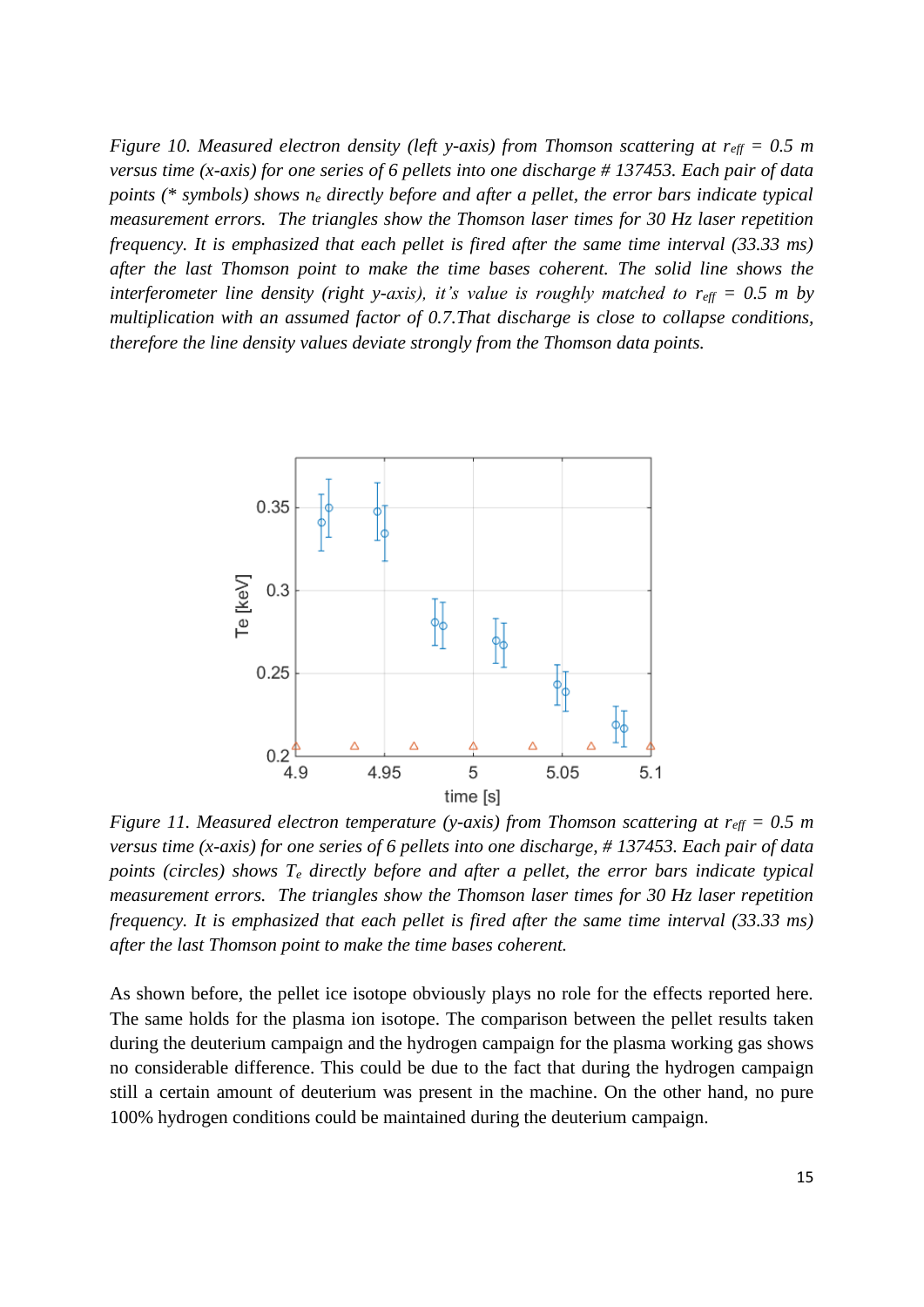*Figure 10. Measured electron density (left y-axis) from Thomson scattering at r<sub><i>eff*</sub> = 0.5 *m versus time (x-axis) for one series of 6 pellets into one discharge # 137453. Each pair of data points (\* symbols) shows n<sup>e</sup> directly before and after a pellet, the error bars indicate typical measurement errors. The triangles show the Thomson laser times for 30 Hz laser repetition frequency. It is emphasized that each pellet is fired after the same time interval (33.33 ms) after the last Thomson point to make the time bases coherent. The solid line shows the interferometer line density (right y-axis), it's value is roughly matched to*  $r_{\text{eff}} = 0.5$  *m by multiplication with an assumed factor of 0.7.That discharge is close to collapse conditions, therefore the line density values deviate strongly from the Thomson data points.* 



*Figure 11. Measured electron temperature (y-axis) from Thomson scattering at r<sub>eff</sub> = 0.5 m versus time (x-axis) for one series of 6 pellets into one discharge, # 137453. Each pair of data points (circles) shows T<sup>e</sup> directly before and after a pellet, the error bars indicate typical measurement errors. The triangles show the Thomson laser times for 30 Hz laser repetition frequency. It is emphasized that each pellet is fired after the same time interval (33.33 ms) after the last Thomson point to make the time bases coherent.*

As shown before, the pellet ice isotope obviously plays no role for the effects reported here. The same holds for the plasma ion isotope. The comparison between the pellet results taken during the deuterium campaign and the hydrogen campaign for the plasma working gas shows no considerable difference. This could be due to the fact that during the hydrogen campaign still a certain amount of deuterium was present in the machine. On the other hand, no pure 100% hydrogen conditions could be maintained during the deuterium campaign.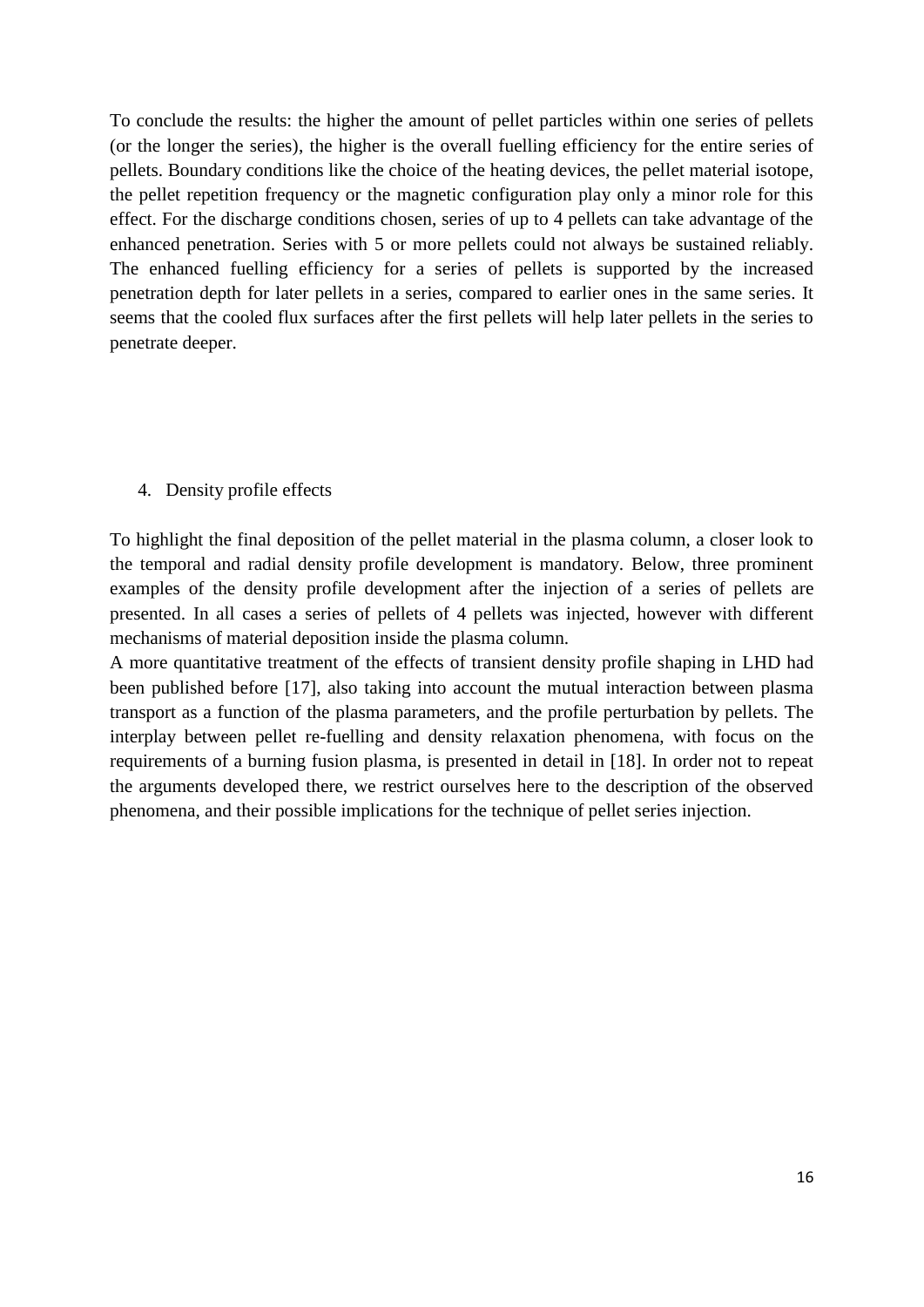To conclude the results: the higher the amount of pellet particles within one series of pellets (or the longer the series), the higher is the overall fuelling efficiency for the entire series of pellets. Boundary conditions like the choice of the heating devices, the pellet material isotope, the pellet repetition frequency or the magnetic configuration play only a minor role for this effect. For the discharge conditions chosen, series of up to 4 pellets can take advantage of the enhanced penetration. Series with 5 or more pellets could not always be sustained reliably. The enhanced fuelling efficiency for a series of pellets is supported by the increased penetration depth for later pellets in a series, compared to earlier ones in the same series. It seems that the cooled flux surfaces after the first pellets will help later pellets in the series to penetrate deeper.

### 4. Density profile effects

To highlight the final deposition of the pellet material in the plasma column, a closer look to the temporal and radial density profile development is mandatory. Below, three prominent examples of the density profile development after the injection of a series of pellets are presented. In all cases a series of pellets of 4 pellets was injected, however with different mechanisms of material deposition inside the plasma column.

A more quantitative treatment of the effects of transient density profile shaping in LHD had been published before [17], also taking into account the mutual interaction between plasma transport as a function of the plasma parameters, and the profile perturbation by pellets. The interplay between pellet re-fuelling and density relaxation phenomena, with focus on the requirements of a burning fusion plasma, is presented in detail in [18]. In order not to repeat the arguments developed there, we restrict ourselves here to the description of the observed phenomena, and their possible implications for the technique of pellet series injection.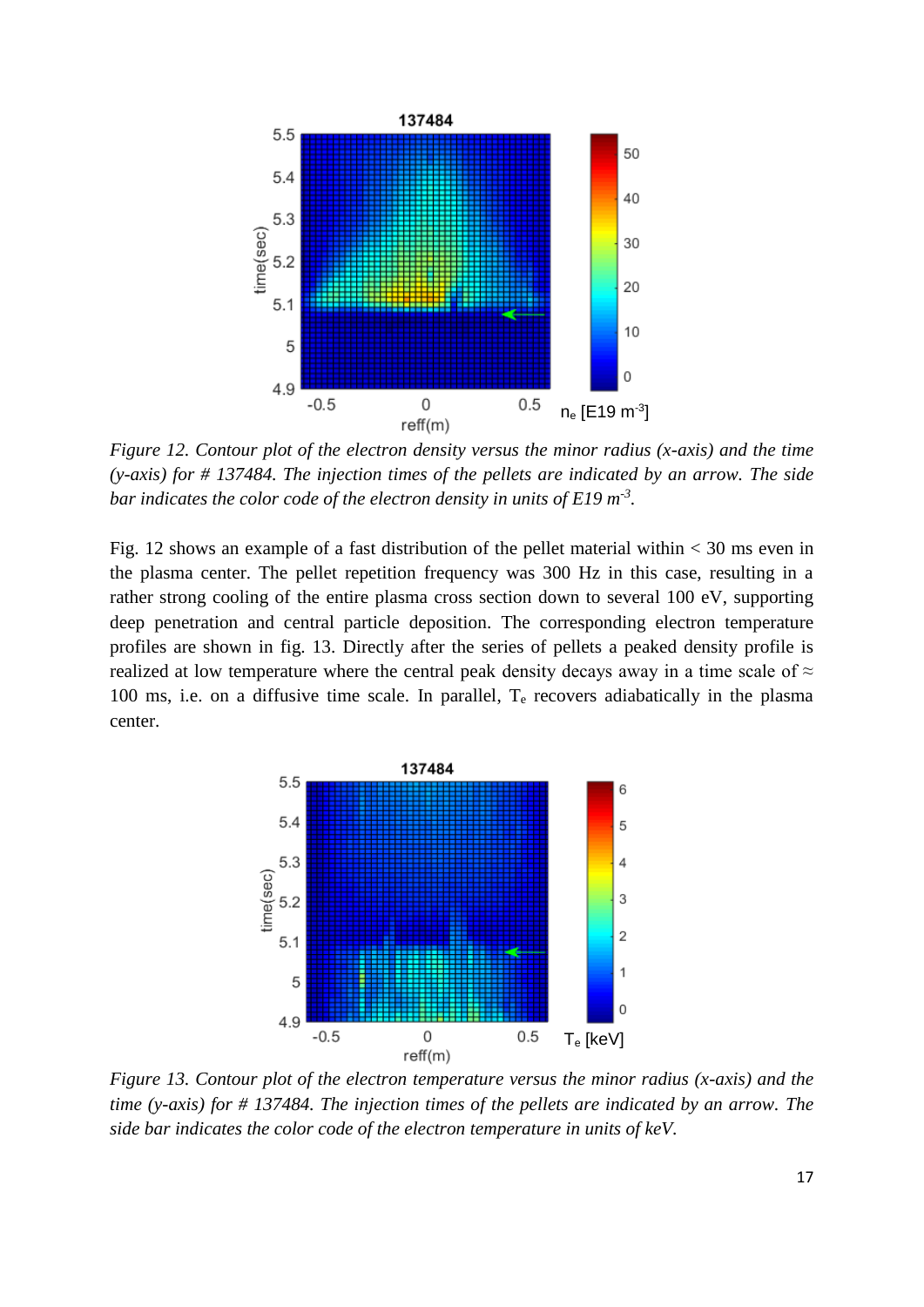

*Figure 12. Contour plot of the electron density versus the minor radius (x-axis) and the time (y-axis) for # 137484. The injection times of the pellets are indicated by an arrow. The side bar indicates the color code of the electron density in units of E19 m-3 .* 

Fig. 12 shows an example of a fast distribution of the pellet material within < 30 ms even in the plasma center. The pellet repetition frequency was 300 Hz in this case, resulting in a rather strong cooling of the entire plasma cross section down to several 100 eV, supporting deep penetration and central particle deposition. The corresponding electron temperature profiles are shown in fig. 13. Directly after the series of pellets a peaked density profile is realized at low temperature where the central peak density decays away in a time scale of  $\approx$ 100 ms, i.e. on a diffusive time scale. In parallel, T<sup>e</sup> recovers adiabatically in the plasma center.



*Figure 13. Contour plot of the electron temperature versus the minor radius (x-axis) and the time (y-axis) for # 137484. The injection times of the pellets are indicated by an arrow. The side bar indicates the color code of the electron temperature in units of keV.*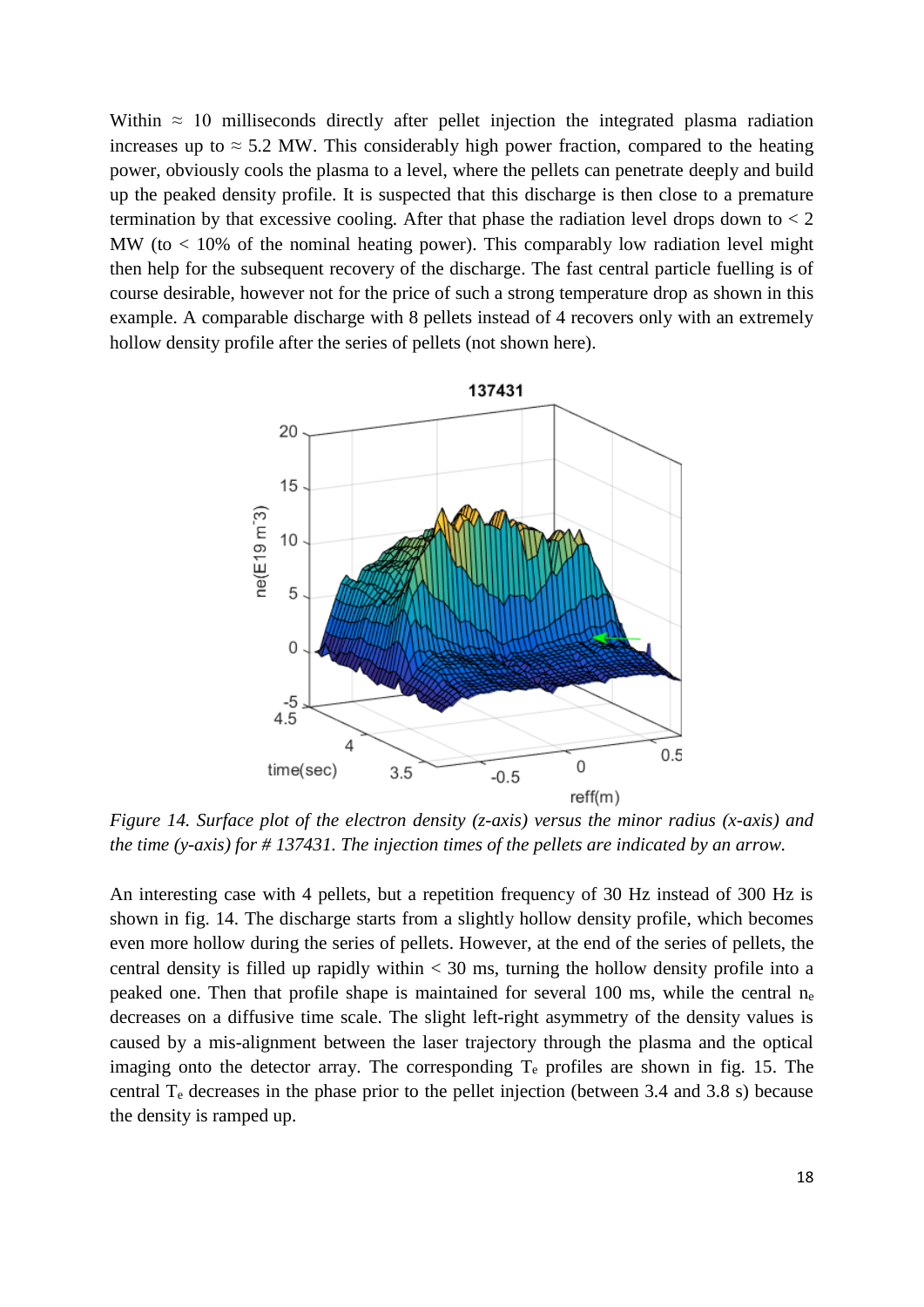Within  $\approx$  10 milliseconds directly after pellet injection the integrated plasma radiation increases up to  $\approx$  5.2 MW. This considerably high power fraction, compared to the heating power, obviously cools the plasma to a level, where the pellets can penetrate deeply and build up the peaked density profile. It is suspected that this discharge is then close to a premature termination by that excessive cooling. After that phase the radiation level drops down to  $< 2$ MW (to  $< 10\%$  of the nominal heating power). This comparably low radiation level might then help for the subsequent recovery of the discharge. The fast central particle fuelling is of course desirable, however not for the price of such a strong temperature drop as shown in this example. A comparable discharge with 8 pellets instead of 4 recovers only with an extremely hollow density profile after the series of pellets (not shown here).



*Figure 14. Surface plot of the electron density (z-axis) versus the minor radius (x-axis) and the time (y-axis) for # 137431. The injection times of the pellets are indicated by an arrow.*

An interesting case with 4 pellets, but a repetition frequency of 30 Hz instead of 300 Hz is shown in fig. 14. The discharge starts from a slightly hollow density profile, which becomes even more hollow during the series of pellets. However, at the end of the series of pellets, the central density is filled up rapidly within  $<$  30 ms, turning the hollow density profile into a peaked one. Then that profile shape is maintained for several 100 ms, while the central n<sup>e</sup> decreases on a diffusive time scale. The slight left-right asymmetry of the density values is caused by a mis-alignment between the laser trajectory through the plasma and the optical imaging onto the detector array. The corresponding  $T_e$  profiles are shown in fig. 15. The central  $T_e$  decreases in the phase prior to the pellet injection (between 3.4 and 3.8 s) because the density is ramped up.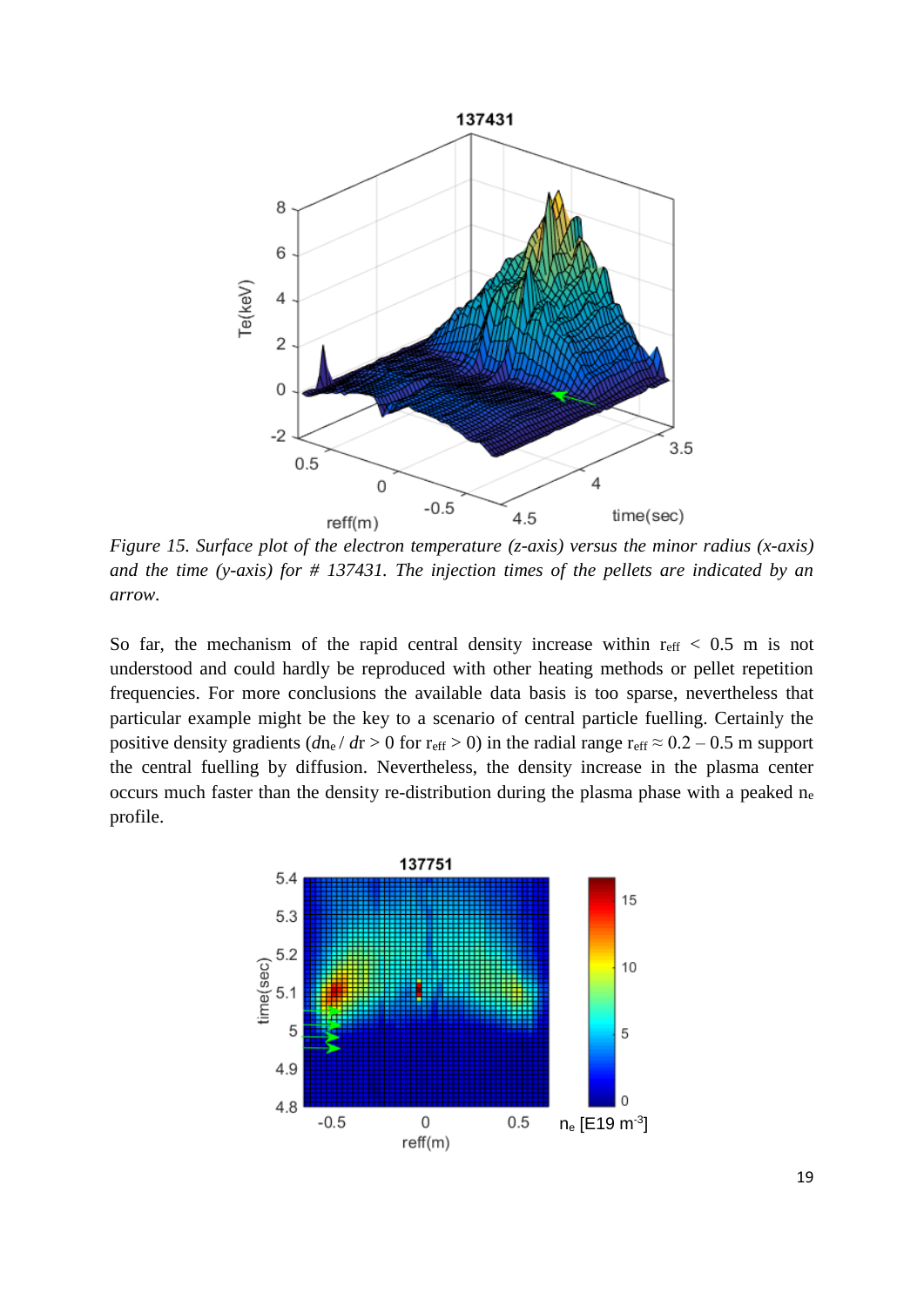

*Figure 15. Surface plot of the electron temperature (z-axis) versus the minor radius (x-axis) and the time (y-axis) for # 137431. The injection times of the pellets are indicated by an arrow.*

So far, the mechanism of the rapid central density increase within  $r_{\text{eff}} < 0.5$  m is not understood and could hardly be reproduced with other heating methods or pellet repetition frequencies. For more conclusions the available data basis is too sparse, nevertheless that particular example might be the key to a scenario of central particle fuelling. Certainly the positive density gradients ( $dn_e/dr > 0$  for r<sub>eff</sub> > 0) in the radial range r<sub>eff</sub>  $\approx 0.2 - 0.5$  m support the central fuelling by diffusion. Nevertheless, the density increase in the plasma center occurs much faster than the density re-distribution during the plasma phase with a peaked n<sup>e</sup> profile.

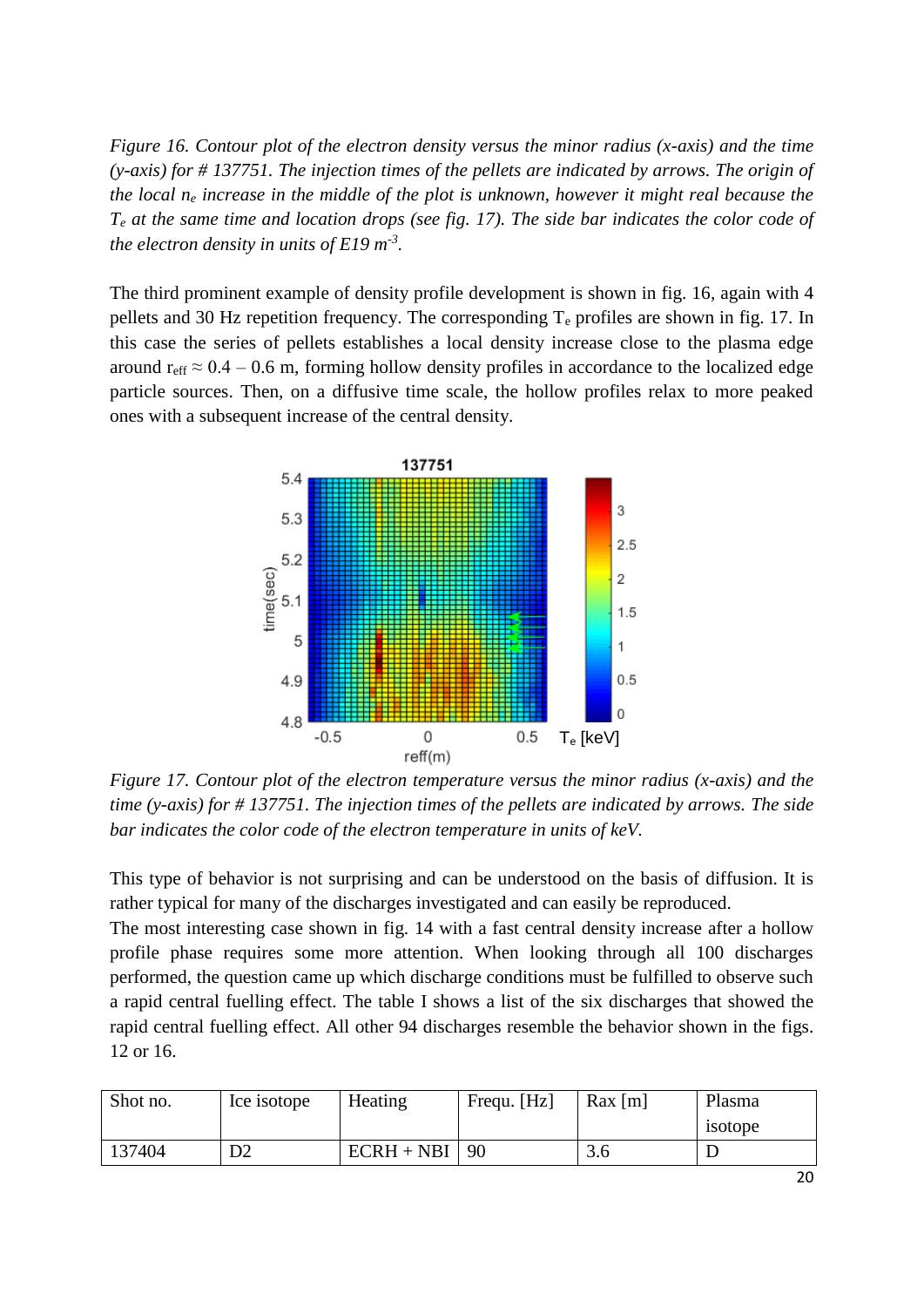*Figure 16. Contour plot of the electron density versus the minor radius (x-axis) and the time (y-axis) for # 137751. The injection times of the pellets are indicated by arrows. The origin of the local n<sup>e</sup> increase in the middle of the plot is unknown, however it might real because the T<sup>e</sup> at the same time and location drops (see fig. 17). The side bar indicates the color code of the electron density in units of E19 m-3 .* 

The third prominent example of density profile development is shown in fig. 16, again with 4 pellets and 30 Hz repetition frequency. The corresponding  $T_e$  profiles are shown in fig. 17. In this case the series of pellets establishes a local density increase close to the plasma edge around r<sub>eff</sub>  $\approx 0.4 - 0.6$  m, forming hollow density profiles in accordance to the localized edge particle sources. Then, on a diffusive time scale, the hollow profiles relax to more peaked ones with a subsequent increase of the central density.



*Figure 17. Contour plot of the electron temperature versus the minor radius (x-axis) and the time (y-axis) for # 137751. The injection times of the pellets are indicated by arrows. The side bar indicates the color code of the electron temperature in units of keV.* 

This type of behavior is not surprising and can be understood on the basis of diffusion. It is rather typical for many of the discharges investigated and can easily be reproduced.

The most interesting case shown in fig. 14 with a fast central density increase after a hollow profile phase requires some more attention. When looking through all 100 discharges performed, the question came up which discharge conditions must be fulfilled to observe such a rapid central fuelling effect. The table I shows a list of the six discharges that showed the rapid central fuelling effect. All other 94 discharges resemble the behavior shown in the figs. 12 or 16.

| Shot no. | Ice isotope | Heating           | Frequ. [Hz] | $\text{Rax}$ [m] | Plasma  |
|----------|-------------|-------------------|-------------|------------------|---------|
|          |             |                   |             |                  | isotope |
| 137404   | D2          | $ECRH + NBI$   90 |             | 3.6              |         |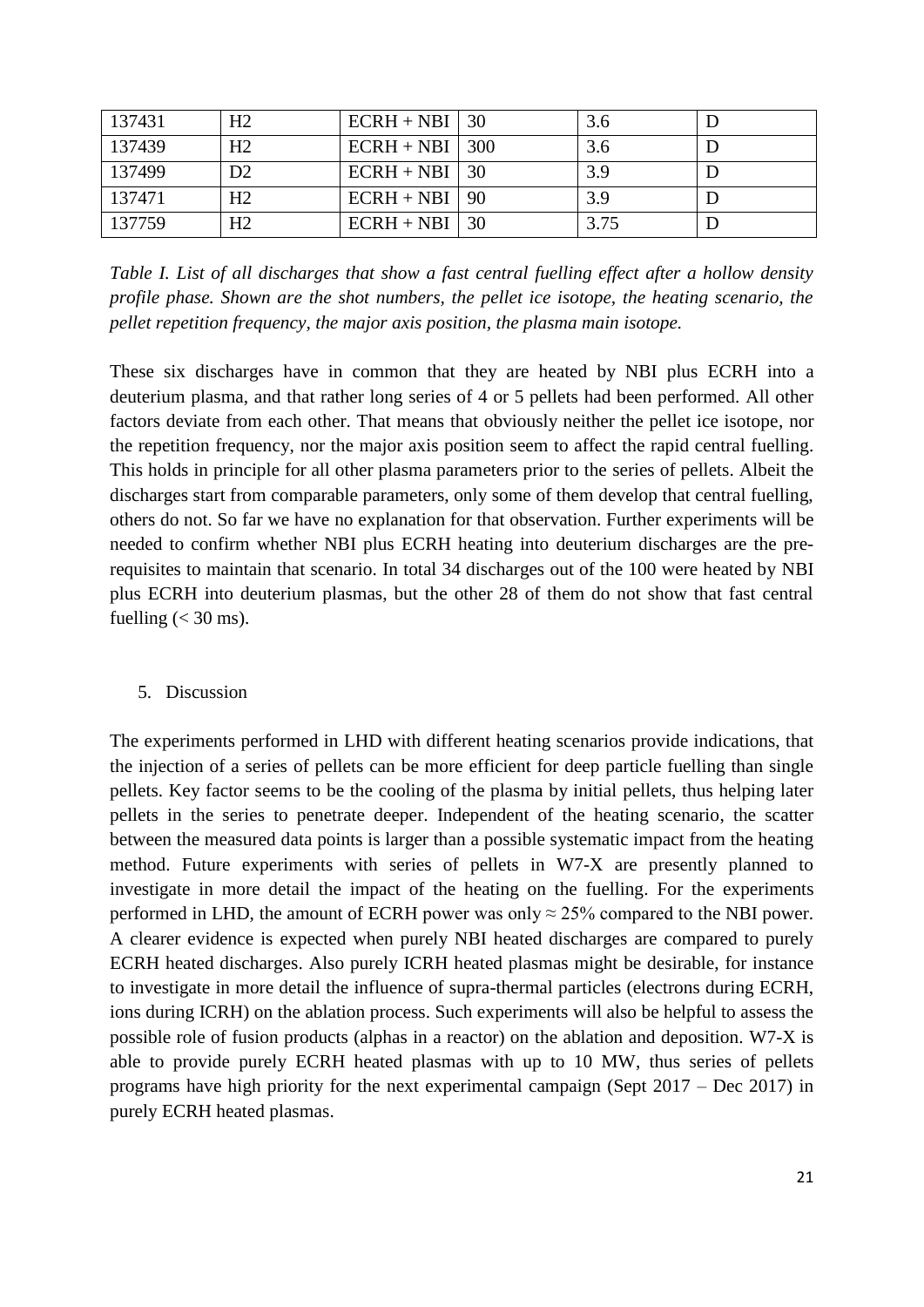| 137431 | H <sub>2</sub> | $ECRH + NBI$ 30   | 3.6  |  |
|--------|----------------|-------------------|------|--|
| 137439 | H <sub>2</sub> | $ECRH + NBI$ 300  | 3.6  |  |
| 137499 | D2             | $ECRH + NBI$   30 | 3.9  |  |
| 137471 | H <sub>2</sub> | $ECRH + NBI$   90 | 3.9  |  |
| 137759 | H <sub>2</sub> | $ECRH + NBI$ 30   | 3.75 |  |

*Table I. List of all discharges that show a fast central fuelling effect after a hollow density profile phase. Shown are the shot numbers, the pellet ice isotope, the heating scenario, the pellet repetition frequency, the major axis position, the plasma main isotope.*

These six discharges have in common that they are heated by NBI plus ECRH into a deuterium plasma, and that rather long series of 4 or 5 pellets had been performed. All other factors deviate from each other. That means that obviously neither the pellet ice isotope, nor the repetition frequency, nor the major axis position seem to affect the rapid central fuelling. This holds in principle for all other plasma parameters prior to the series of pellets. Albeit the discharges start from comparable parameters, only some of them develop that central fuelling, others do not. So far we have no explanation for that observation. Further experiments will be needed to confirm whether NBI plus ECRH heating into deuterium discharges are the prerequisites to maintain that scenario. In total 34 discharges out of the 100 were heated by NBI plus ECRH into deuterium plasmas, but the other 28 of them do not show that fast central fuelling  $( $30 \text{ ms}$ ).$ 

#### 5. Discussion

The experiments performed in LHD with different heating scenarios provide indications, that the injection of a series of pellets can be more efficient for deep particle fuelling than single pellets. Key factor seems to be the cooling of the plasma by initial pellets, thus helping later pellets in the series to penetrate deeper. Independent of the heating scenario, the scatter between the measured data points is larger than a possible systematic impact from the heating method. Future experiments with series of pellets in W7-X are presently planned to investigate in more detail the impact of the heating on the fuelling. For the experiments performed in LHD, the amount of ECRH power was only  $\approx$  25% compared to the NBI power. A clearer evidence is expected when purely NBI heated discharges are compared to purely ECRH heated discharges. Also purely ICRH heated plasmas might be desirable, for instance to investigate in more detail the influence of supra-thermal particles (electrons during ECRH, ions during ICRH) on the ablation process. Such experiments will also be helpful to assess the possible role of fusion products (alphas in a reactor) on the ablation and deposition. W7-X is able to provide purely ECRH heated plasmas with up to 10 MW, thus series of pellets programs have high priority for the next experimental campaign (Sept 2017 – Dec 2017) in purely ECRH heated plasmas.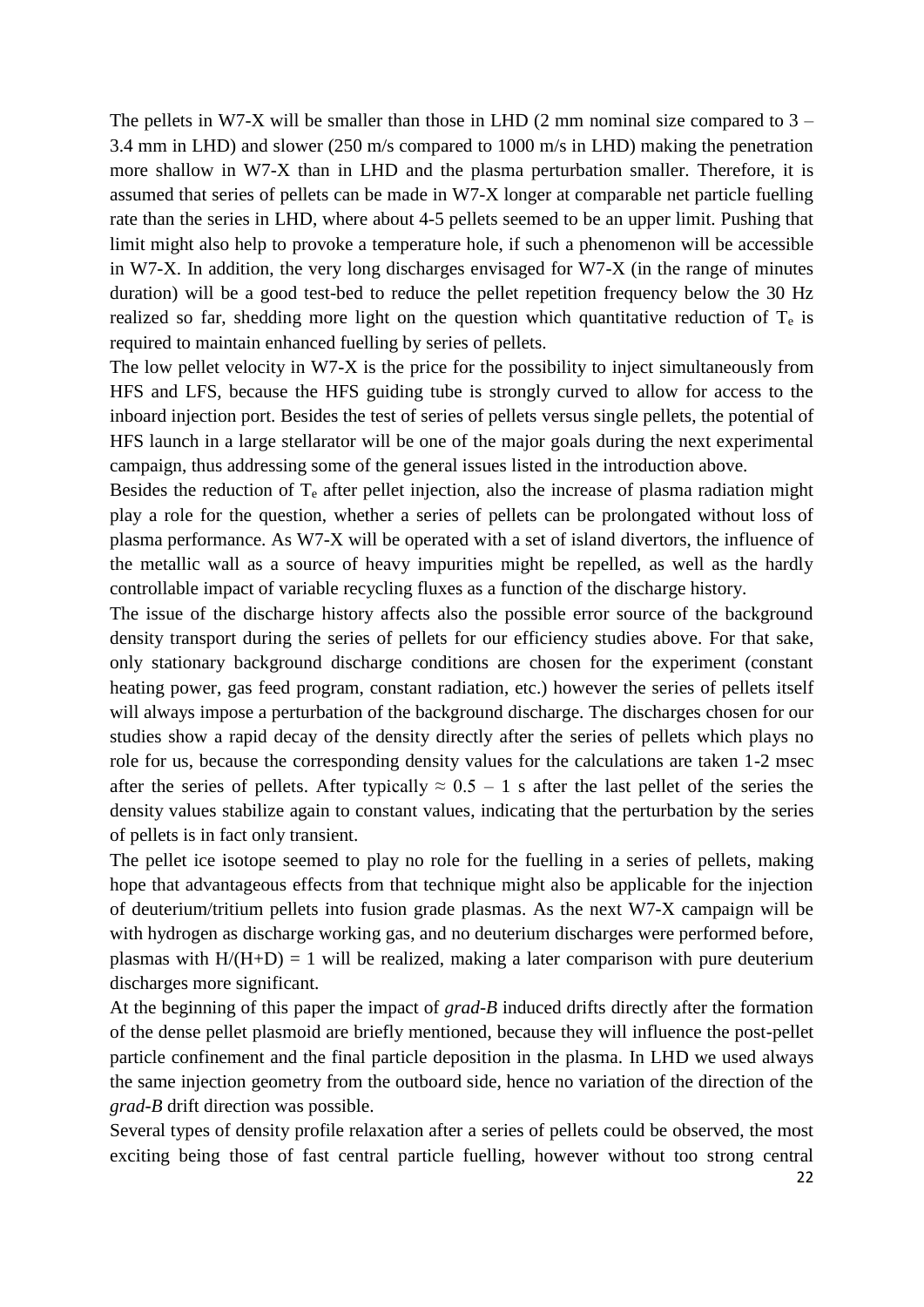The pellets in W7-X will be smaller than those in LHD  $(2 \text{ mm nominal size compared to } 3 -$ 3.4 mm in LHD) and slower (250 m/s compared to 1000 m/s in LHD) making the penetration more shallow in W7-X than in LHD and the plasma perturbation smaller. Therefore, it is assumed that series of pellets can be made in W7-X longer at comparable net particle fuelling rate than the series in LHD, where about 4-5 pellets seemed to be an upper limit. Pushing that limit might also help to provoke a temperature hole, if such a phenomenon will be accessible in W7-X. In addition, the very long discharges envisaged for W7-X (in the range of minutes duration) will be a good test-bed to reduce the pellet repetition frequency below the 30 Hz realized so far, shedding more light on the question which quantitative reduction of  $T_e$  is required to maintain enhanced fuelling by series of pellets.

The low pellet velocity in W7-X is the price for the possibility to inject simultaneously from HFS and LFS, because the HFS guiding tube is strongly curved to allow for access to the inboard injection port. Besides the test of series of pellets versus single pellets, the potential of HFS launch in a large stellarator will be one of the major goals during the next experimental campaign, thus addressing some of the general issues listed in the introduction above.

Besides the reduction of  $T_e$  after pellet injection, also the increase of plasma radiation might play a role for the question, whether a series of pellets can be prolongated without loss of plasma performance. As W7-X will be operated with a set of island divertors, the influence of the metallic wall as a source of heavy impurities might be repelled, as well as the hardly controllable impact of variable recycling fluxes as a function of the discharge history.

The issue of the discharge history affects also the possible error source of the background density transport during the series of pellets for our efficiency studies above. For that sake, only stationary background discharge conditions are chosen for the experiment (constant heating power, gas feed program, constant radiation, etc.) however the series of pellets itself will always impose a perturbation of the background discharge. The discharges chosen for our studies show a rapid decay of the density directly after the series of pellets which plays no role for us, because the corresponding density values for the calculations are taken 1-2 msec after the series of pellets. After typically  $\approx 0.5 - 1$  s after the last pellet of the series the density values stabilize again to constant values, indicating that the perturbation by the series of pellets is in fact only transient.

The pellet ice isotope seemed to play no role for the fuelling in a series of pellets, making hope that advantageous effects from that technique might also be applicable for the injection of deuterium/tritium pellets into fusion grade plasmas. As the next W7-X campaign will be with hydrogen as discharge working gas, and no deuterium discharges were performed before, plasmas with  $H/(H+D) = 1$  will be realized, making a later comparison with pure deuterium discharges more significant.

At the beginning of this paper the impact of *grad-B* induced drifts directly after the formation of the dense pellet plasmoid are briefly mentioned, because they will influence the post-pellet particle confinement and the final particle deposition in the plasma. In LHD we used always the same injection geometry from the outboard side, hence no variation of the direction of the *grad-B* drift direction was possible.

Several types of density profile relaxation after a series of pellets could be observed, the most exciting being those of fast central particle fuelling, however without too strong central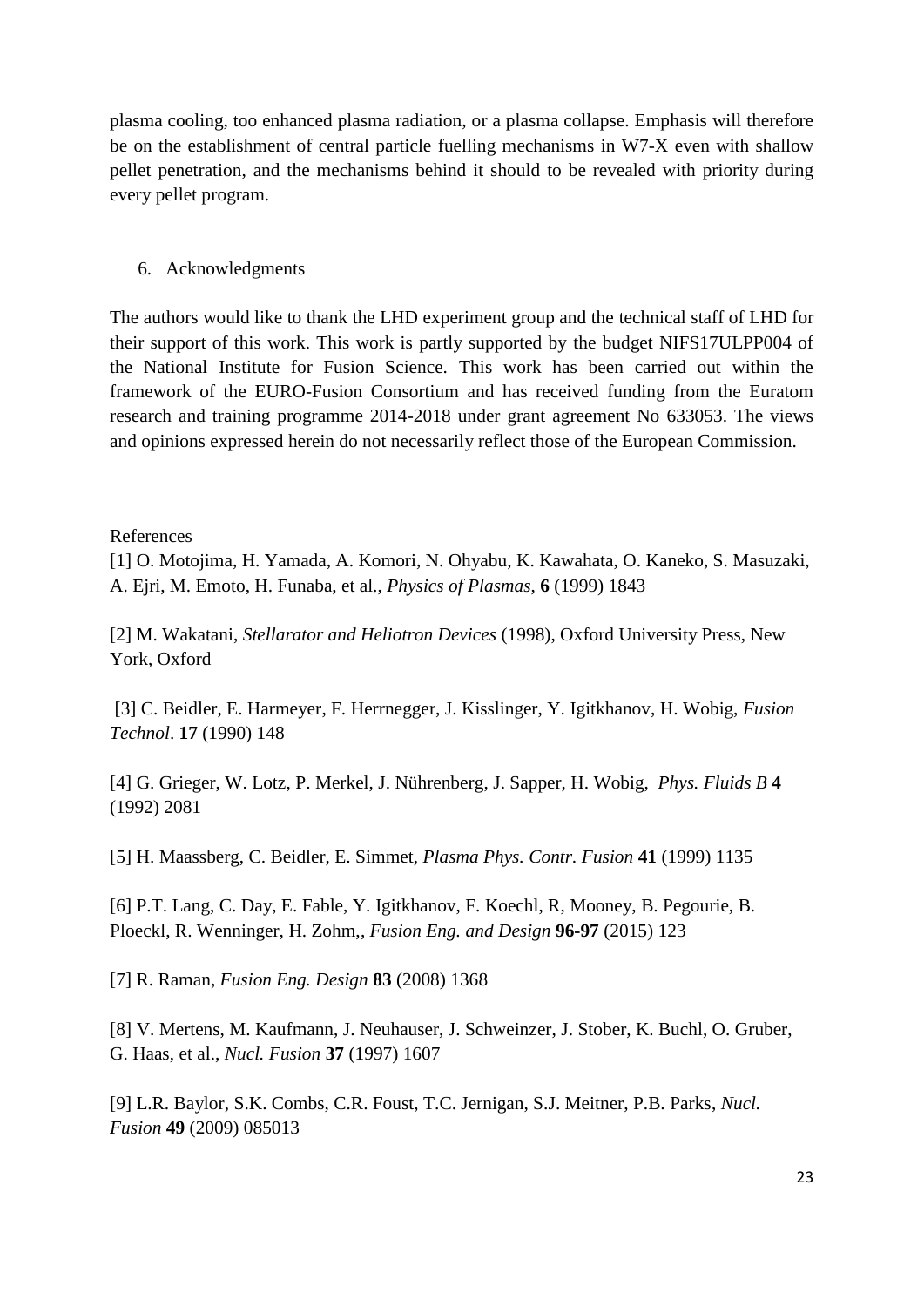plasma cooling, too enhanced plasma radiation, or a plasma collapse. Emphasis will therefore be on the establishment of central particle fuelling mechanisms in W7-X even with shallow pellet penetration, and the mechanisms behind it should to be revealed with priority during every pellet program.

# 6. Acknowledgments

The authors would like to thank the LHD experiment group and the technical staff of LHD for their support of this work. This work is partly supported by the budget NIFS17ULPP004 of the National Institute for Fusion Science. This work has been carried out within the framework of the EURO-Fusion Consortium and has received funding from the Euratom research and training programme 2014-2018 under grant agreement No 633053. The views and opinions expressed herein do not necessarily reflect those of the European Commission.

# References

[1] O. Motojima, H. Yamada, A. Komori, N. Ohyabu, K. Kawahata, O. Kaneko, S. Masuzaki, A. Ejri, M. Emoto, H. Funaba, et al., *Physics of Plasmas*, **6** (1999) 1843

[2] M. Wakatani, *Stellarator and Heliotron Devices* (1998), Oxford University Press, New York, Oxford

[3] C. Beidler, E. Harmeyer, F. Herrnegger, J. Kisslinger, Y. Igitkhanov, H. Wobig, *Fusion Technol*. **17** (1990) 148

[4] G. Grieger, W. Lotz, P. Merkel, J. Nührenberg, J. Sapper, H. Wobig, *Phys. Fluids B* **4** (1992) 2081

[5] H. Maassberg, C. Beidler, E. Simmet, *Plasma Phys. Contr. Fusion* **41** (1999) 1135

[6] P.T. Lang, C. Day, E. Fable, Y. Igitkhanov, F. Koechl, R, Mooney, B. Pegourie, B. Ploeckl, R. Wenninger, H. Zohm,, *Fusion Eng. and Design* **96-97** (2015) 123

[7] R. Raman, *Fusion Eng. Design* **83** (2008) 1368

[8] V. Mertens, M. Kaufmann, J. Neuhauser, J. Schweinzer, J. Stober, K. Buchl, O. Gruber, G. Haas, et al., *Nucl. Fusion* **37** (1997) 1607

[9] L.R. Baylor, S.K. Combs, C.R. Foust, T.C. Jernigan, S.J. Meitner, P.B. Parks, *Nucl. Fusion* **49** (2009) 085013